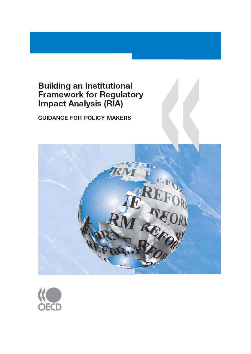# **Building an Institutional Framework for Regulatory Impact Analysis (RIA)**

**GUIDANCE FOR POLICY MAKERS** 



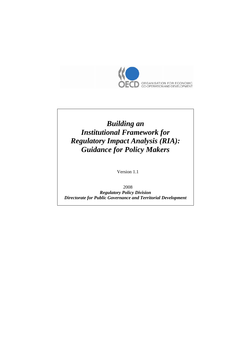

# *Building an Institutional Framework for Regulatory Impact Analysis (RIA): Guidance for Policy Makers*

Version 1.1

2008 *Regulatory Policy Division Directorate for Public Governance and Territorial Development*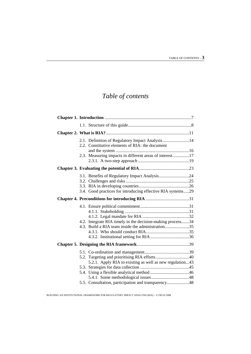# *Table of contents*

| 2.1. Definition of Regulatory Impact Analysis14<br>2.2. Constitutive elements of RIA: the document              |  |
|-----------------------------------------------------------------------------------------------------------------|--|
| 2.3. Measuring impacts in different areas of interest17                                                         |  |
|                                                                                                                 |  |
| 3.1. Benefits of Regulatory Impact Analysis24<br>3.4. Good practices for introducing effective RIA systems29    |  |
|                                                                                                                 |  |
| 4.2. Integrate RIA timely in the decision-making process34<br>4.3. Build a RIA team inside the administration35 |  |
|                                                                                                                 |  |
| 5.2.1. Apply RIA to existing as well as new regulation43                                                        |  |
|                                                                                                                 |  |
| 5.5. Consultation, participation and transparency48                                                             |  |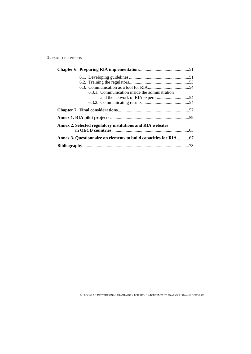| 6.3.1. Communication inside the administration             |  |  |
|------------------------------------------------------------|--|--|
|                                                            |  |  |
|                                                            |  |  |
|                                                            |  |  |
|                                                            |  |  |
| Annex 2. Selected regulatory institutions and RIA websites |  |  |
|                                                            |  |  |
|                                                            |  |  |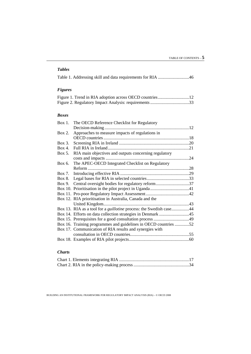# *Tables*

|--|--|--|

## *Figures*

## *Boxes*

| Box 1.        | The OECD Reference Checklist for Regulatory                               |     |
|---------------|---------------------------------------------------------------------------|-----|
|               |                                                                           | .12 |
| Box 2.        | Approaches to measure impacts of regulations in                           |     |
|               |                                                                           |     |
| Box 3.        |                                                                           |     |
| Box 4.        |                                                                           |     |
| Box 5.        | RIA main objectives and outputs concerning regulatory                     |     |
|               |                                                                           |     |
| Box 6.        | The APEC-OECD Integrated Checklist on Regulatory                          |     |
|               |                                                                           |     |
| <b>Box 7.</b> |                                                                           |     |
| Box 8.        |                                                                           |     |
|               | Box 9. Central oversight bodies for regulatory reform37                   |     |
|               |                                                                           |     |
|               |                                                                           |     |
|               | Box 12. RIA prioritisation in Australia, Canada and the                   |     |
|               |                                                                           |     |
|               | Box 13. RIA as a tool for a <i>guillotine</i> process: the Swedish case44 |     |
|               |                                                                           |     |
|               |                                                                           |     |
|               | Box 16. Training programmes and guidelines in OECD countries 52           |     |
|               | Box 17. Communication of RIA results and synergies with                   |     |
|               |                                                                           |     |
|               |                                                                           |     |
|               |                                                                           |     |

# *Charts*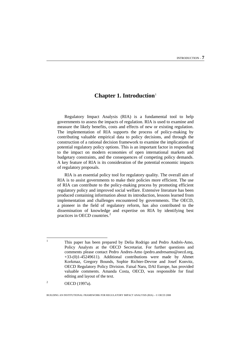# **Chapter [1](#page-6-1). Introduction**<sup>1</sup>

<span id="page-6-0"></span>Regulatory Impact Analysis (RIA) is a fundamental tool to help governments to assess the impacts of regulation. RIA is used to examine and measure the likely benefits, costs and effects of new or existing regulation. The implementation of RIA supports the process of policy-making by contributing valuable empirical data to policy decisions, and through the construction of a rational decision framework to examine the implications of potential regulatory policy options. This is an important factor in responding to the impact on modern economies of open international markets and budgetary constraints, and the consequences of competing policy demands. A key feature of RIA is its consideration of the potential economic impacts of regulatory proposals.

RIA is an essential policy tool for regulatory quality. The overall aim of RIA is to assist governments to make their policies more efficient. The use of RIA can contribute to the policy-making process by promoting efficient regulatory policy and improved social welfare. Extensive literature has been produced containing information about its introduction, lessons learned from implementation and challenges encountered by governments. The OECD, a pioneer in the field of regulatory reform, has also contributed to the dissemination of knowledge and expertise on RIA by identifying best practices in OECD countries.<sup>[2](#page-6-2)</sup>

<span id="page-6-2"></span>2 OECD (1997a).

<span id="page-6-1"></span> $\frac{1}{1}$  This paper has been prepared by Delia Rodrigo and Pedro Andrés-Amo, Policy Analysts at the OECD Secretariat. For further questions and comments please contact Pedro Andres-Amo (pedro.andresamo@oecd.org, +33-(0)1-45249611). Additional contributions were made by Ahmet Korkmaz, Gregory Bounds, Sophie Richter-Devroe and Josef Konvitz, OECD Regulatory Policy Division. Faisal Naru, DAI Europe, has provided valuable comments. Amanda Costa, OECD, was responsible for final editing and layout of the text.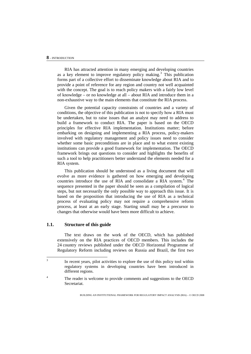<span id="page-7-0"></span>RIA has attracted attention in many emerging and developing countries as a key element to improve regulatory policy making.<sup>[3](#page-7-1)</sup> This publication forms part of a collective effort to disseminate knowledge about RIA and to provide a point of reference for any region and country not well acquainted with the concept. The goal is to reach policy makers with a fairly low level of knowledge – or no knowledge at all – about RIA and introduce them in a non-exhaustive way to the main elements that constitute the RIA process.

Given the potential capacity constraints of countries and a variety of conditions, the objective of this publication is not to specify how a RIA must be undertaken, but to raise issues that an analyst may need to address to build a framework to conduct RIA. The paper is based on the OECD principles for effective RIA implementation. Institutions matter; before embarking on designing and implementing a RIA process, policy-makers involved with regulatory management and policy issues need to consider whether some basic preconditions are in place and to what extent existing institutions can provide a good framework for implementation. The OECD framework brings out questions to consider and highlights the benefits of such a tool to help practitioners better understand the elements needed for a RIA system.

This publication should be understood as a living document that will evolve as more evidence is gathered on how emerging and developing countries introduce the use of RIA and consolidate a RIA system.<sup>[4](#page-7-2)</sup> The sequence presented in the paper should be seen as a compilation of logical steps, but not necessarily the only possible way to approach this issue. It is based on the proposition that introducing the use of RIA as a technical process of evaluating policy may not require a comprehensive reform process, at least at an early stage. Starting small may be a precursor to changes that otherwise would have been more difficult to achieve.

## **1.1. Structure of this guide**

The text draws on the work of the OECD, which has published extensively on the RIA practices of OECD members. This includes the 24 country reviews published under the OECD Horizontal Programme of Regulatory Reform including reviews on Russia and Brazil, the first two

<span id="page-7-1"></span> $\frac{1}{3}$  In recent years, pilot activities to explore the use of this policy tool within regulatory systems in developing countries have been introduced in different regions.

<span id="page-7-2"></span><sup>4</sup> The reader is welcome to provide comments and suggestions to the OECD Secretariat.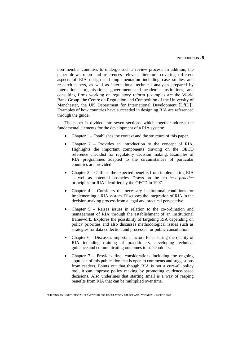non-member countries to undergo such a review process. In addition, the paper draws upon and references relevant literature covering different aspects of RIA design and implementation including case studies and research papers, as well as international technical analyses prepared by international organisations, government and academic institutions, and consulting firms working on regulatory reform (examples are the World Bank Group, the Centre on Regulation and Competition of the University of Manchester, the UK Department for International Development [DfID]). Examples of how countries have succeeded in designing RIA are referenced through the guide.

The paper is divided into seven sections, which together address the fundamental elements for the development of a RIA system:

- Chapter 1 Establishes the context and the structure of this paper.
- Chapter 2 Provides an introduction to the concept of RIA. Highlights the important components drawing on the OECD reference checklist for regulatory decision making. Examples of RIA programmes adapted to the circumstances of particular countries are provided.
- Chapter 3 Outlines the expected benefits from implementing RIA as well as potential obstacles. Draws on the ten *best practice* principles for RIA identified by the OECD in 1997.
- Chapter  $4$  Considers the necessary institutional conditions for implementing a RIA system. Discusses the integration of RIA in the decision-making process from a legal and practical perspective.
- Chapter 5 Raises issues in relation to the co-ordination and management of RIA through the establishment of an institutional framework. Explores the possibility of targeting RIA depending on policy priorities and also discusses methodological issues such as strategies for data collection and processes for public consultation.
- Chapter  $6 -$  Discusses important factors for ensuring the quality of RIA including training of practitioners, developing technical guidance and communicating outcomes to stakeholders.
- Chapter  $7$  Provides final considerations including the ongoing approach of this publication that is open to comments and suggestions from readers. Points out that though RIA is not a cure-all policy tool, it can improve policy making by promoting evidence-based decisions. Also underlines that starting small is a way of reaping benefits from RIA that can be multiplied over time.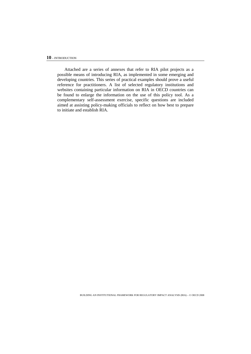Attached are a series of annexes that refer to RIA pilot projects as a possible means of introducing RIA, as implemented in some emerging and developing countries. This series of practical examples should prove a useful reference for practitioners. A list of selected regulatory institutions and websites containing particular information on RIA in OECD countries can be found to enlarge the information on the use of this policy tool. As a complementary self-assessment exercise, specific questions are included aimed at assisting policy-making officials to reflect on how best to prepare to initiate and establish RIA.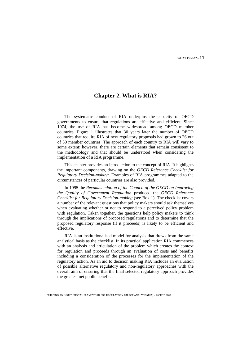# **Chapter 2. What is RIA?**

<span id="page-10-0"></span>The systematic conduct of RIA underpins the capacity of OECD governments to ensure that regulations are effective and efficient. Since 1974, the use of RIA has become widespread among OECD member countries. Figure 1 illustrates that 30 years later the number of OECD countries that require RIA of new regulatory proposals had grown to 26 out of 30 member countries. The approach of each country to RIA will vary to some extent; however, there are certain elements that remain consistent to the methodology and that should be understood when considering the implementation of a RIA programme.

This chapter provides an introduction to the concept of RIA. It highlights the important components, drawing on the *OECD Reference Checklist for Regulatory Decision-making*. Examples of RIA programmes adapted to the circumstances of particular countries are also provided.

In 1995 the *Recommendation of the Council of the OECD on Improving the Quality of Government Regulation* produced the *OECD Reference Checklist for Regulatory Decision-making* (see Box 1). The checklist covers a number of the relevant questions that policy makers should ask themselves when evaluating whether or not to respond to a perceived policy problem with regulation. Taken together, the questions help policy makers to think through the implications of proposed regulations and to determine that the proposed regulatory response (if it proceeds) is likely to be efficient and effective.

RIA is an institutionalised model for analysis that draws from the same analytical basis as the checklist. In its practical application RIA commences with an analysis and articulation of the problem which creates the context for regulation and proceeds through an evaluation of costs and benefits including a consideration of the processes for the implementation of the regulatory action. As an aid to decision making RIA includes an evaluation of possible alternative regulatory and non-regulatory approaches with the overall aim of ensuring that the final selected regulatory approach provides the greatest net public benefit.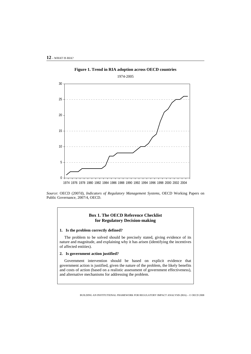<span id="page-11-0"></span>

**Figure 1. Trend in RIA adoption across OECD countries** 

1974-2005

*Source*: OECD (2007d), *Indicators of Regulatory Management Systems*, OECD Working Papers on Public Governance, 2007/4, OECD.

#### **Box 1. The OECD Reference Checklist for Regulatory Decision-making**

#### **1. Is the problem correctly defined?**

The problem to be solved should be precisely stated, giving evidence of its nature and magnitude, and explaining why it has arisen (identifying the incentives of affected entities).

#### **2. Is government action justified?**

Government intervention should be based on explicit evidence that government action is justified, given the nature of the problem, the likely benefits and costs of action (based on a realistic assessment of government effectiveness), and alternative mechanisms for addressing the problem.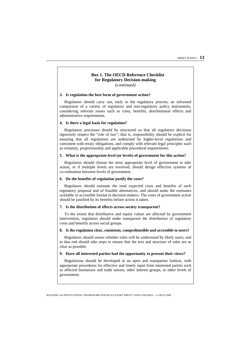## **Box 1. The OECD Reference Checklist for Regulatory Decision-making**

*(continued)* 

#### **3. Is regulation the best form of government action?**

Regulators should carry out, early in the regulatory process, an informed comparison of a variety of regulatory and non-regulatory policy instruments, considering relevant issues such as costs, benefits, distributional effects and administrative requirements.

#### **4. Is there a legal basis for regulation?**

Regulatory processes should be structured so that all regulatory decisions rigorously respect the "rule of law"; that is, responsibility should be explicit for ensuring that all regulations are authorised by higher-level regulations and consistent with treaty obligations, and comply with relevant legal principles such as certainty, proportionality and applicable procedural requirements.

#### **5. What is the appropriate level (or levels) of government for this action?**

Regulators should choose the most appropriate level of government to take action, or if multiple levels are involved, should design effective systems of co-ordination between levels of government.

#### **6. Do the benefits of regulation justify the costs?**

Regulators should estimate the total expected costs and benefits of each regulatory proposal and of feasible alternatives, and should make the estimates available in accessible format to decision-makers. The costs of government action should be justified by its benefits before action is taken.

#### **7. Is the distribution of effects across society transparent?**

To the extent that distributive and equity values are affected by government intervention, regulators should make transparent the distribution of regulatory costs and benefits across social groups.

#### **8. Is the regulation clear, consistent, comprehensible and accessible to users?**

Regulators should assess whether rules will be understood by likely users, and to that end should take steps to ensure that the text and structure of rules are as clear as possible.

#### **9. Have all interested parties had the opportunity to present their views?**

Regulations should be developed in an open and transparent fashion, with appropriate procedures for effective and timely input from interested parties such as affected businesses and trade unions, other interest groups, or other levels of government.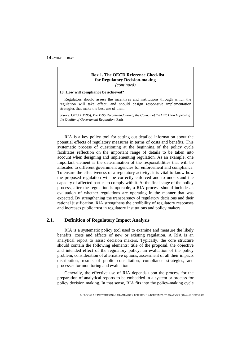## **Box 1. The OECD Reference Checklist for Regulatory Decision-making**

*(continued)*

#### <span id="page-13-0"></span>**10. How will compliance be achieved?**

Regulators should assess the incentives and institutions through which the regulation will take effect, and should design responsive implementation strategies that make the best use of them.

*Source*: OECD (1995), *The 1995 Recommendation of the Council of the OECD on Improving the Quality of Government Regulation*, Paris.

RIA is a key policy tool for setting out detailed information about the potential effects of regulatory measures in terms of costs and benefits. This systematic process of questioning at the beginning of the policy cycle facilitates reflection on the important range of details to be taken into account when designing and implementing regulation. As an example, one important element is the determination of the responsibilities that will be allocated to different government agencies for enforcement and compliance. To ensure the effectiveness of a regulatory activity, it is vital to know how the proposed regulation will be correctly enforced and to understand the capacity of affected parties to comply with it. At the final stage of the policy process, after the regulation is operable, a RIA process should include an evaluation of whether regulations are operating in the manner that was expected. By strengthening the transparency of regulatory decisions and their rational justification, RIA strengthens the credibility of regulatory responses and increases public trust in regulatory institutions and policy makers.

## **2.1. Definition of Regulatory Impact Analysis**

RIA is a systematic policy tool used to examine and measure the likely benefits, costs and effects of new or existing regulation. A RIA is an analytical report to assist decision makers. Typically, the core structure should contain the following elements: title of the proposal, the objective and intended effect of the regulatory policy, an evaluation of the policy problem, consideration of alternative options, assessment of all their impacts distribution, results of public consultation, compliance strategies, and processes for monitoring and evaluation.

Generally, the effective use of RIA depends upon the process for the preparation of analytical reports to be embedded in a system or process for policy decision making. In that sense, RIA fits into the policy-making cycle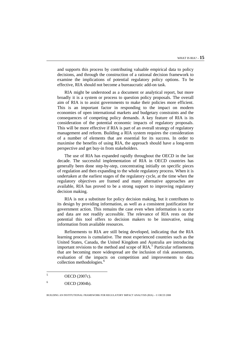and supports this process by contributing valuable empirical data to policy decisions, and through the construction of a rational decision framework to examine the implications of potential regulatory policy options. To be effective, RIA should not become a bureaucratic add-on task.

RIA might be understood as a document or analytical report, but more broadly it is a system or process to question policy proposals. The overall aim of RIA is to assist governments to make their policies more efficient. This is an important factor in responding to the impact on modern economies of open international markets and budgetary constraints and the consequences of competing policy demands. A key feature of RIA is its consideration of the potential economic impacts of regulatory proposals. This will be more effective if RIA is part of an overall strategy of regulatory management and reform. Building a RIA system requires the consideration of a number of elements that are essential for its success. In order to maximise the benefits of using RIA, the approach should have a long-term perspective and get buy-in from stakeholders.

The use of RIA has expanded rapidly throughout the OECD in the last decade. The successful implementation of RIA in OECD countries has generally been done step-by-step, concentrating initially on specific pieces of regulation and then expanding to the whole regulatory process. When it is undertaken at the earliest stages of the regulatory cycle, at the time when the regulatory objectives are framed and many alternative approaches are available, RIA has proved to be a strong support to improving regulatory decision making.

RIA is not a substitute for policy decision making, but it contributes to its design by providing information, as well as a consistent justification for government action. This remains the case even when information is scarce and data are not readily accessible. The relevance of RIA rests on the potential this tool offers to decision makers to be innovative, using information from available resources.

Refinements to RIA are still being developed, indicating that the RIA learning process is cumulative. The most experienced countries such as the United States, Canada, the United Kingdom and Australia are introducing important revisions to the method and scope of RIA.<sup>[5](#page-14-0)</sup> Particular refinements that are becoming more widespread are the inclusion of risk assessments, evaluation of the impacts on competition and improvements to data collection methodologies.<sup>[6](#page-15-1)</sup>

 $\frac{1}{5}$ OECD (2007c).

<span id="page-14-0"></span><sup>6</sup> OECD (2004b).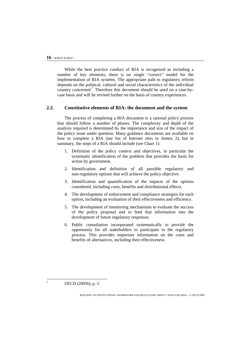<span id="page-15-0"></span>While the best practice conduct of RIA is recognised as including a number of key elements, there is no single "correct" model for the implementation of RIA systems. The appropriate path to regulatory reform depends on the political, cultural and social characteristics of the individual country concerned.<sup>[7](#page-15-2)</sup> Therefore this document should be used on a case-bycase basis and will be revised further on the basis of country experiences.

## **2.2. Constitutive elements of RIA: the document and the system**

The process of completing a RIA document is a rational policy process that should follow a number of phases. The complexity and depth of the analysis required is determined by the importance and size of the impact of the policy issue under question. Many guidance documents are available on how to complete a RIA (see list of Internet sites in Annex 2), but in summary, the steps of a RIA should include (see Chart 1):

- 1. Definition of the policy context and objectives, in particular the systematic identification of the problem that provides the basis for action by government.
- 2. Identification and definition of all possible regulatory and non-regulatory options that will achieve the policy objective.
- 3. Identification and quantification of the impacts of the options considered, including costs, benefits and distributional effects.
- 4. The development of enforcement and compliance strategies for each option, including an evaluation of their effectiveness and efficiency.
- 5. The development of monitoring mechanisms to evaluate the success of the policy proposal and to feed that information into the development of future regulatory responses.
- 6. Public consultation incorporated systematically to provide the opportunity for all stakeholders to participate in the regulatory process. This provides important information on the costs and benefits of alternatives, including their effectiveness.

<span id="page-15-2"></span><span id="page-15-1"></span>OECD (2005b), p. 3.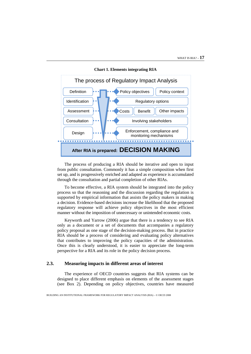<span id="page-16-0"></span>

**Chart 1. Elements integrating RIA** 

The process of producing a RIA should be iterative and open to input from public consultation. Commonly it has a simple composition when first set up, and is progressively enriched and adapted as experience is accumulated through the consultation and partial completion of other RIAs.

To become effective, a RIA system should be integrated into the policy process so that the reasoning and the discussion regarding the regulation is supported by empirical information that assists the policy makers in making a decision. Evidence-based decisions increase the likelihood that the proposed regulatory response will achieve policy objectives in the most efficient manner without the imposition of unnecessary or unintended economic costs.

Keyworth and Yarrow (2006) argue that there is a tendency to see RIA only as a document or a set of documents that accompanies a regulatory policy proposal as one stage of the decision-making process. But in practice RIA should be a process of considering and evaluating policy alternatives that contributes to improving the policy capacities of the administration. Once this is clearly understood, it is easier to appreciate the long-term perspective for a RIA and its role in the policy decision process.

## **2.3. Measuring impacts in different areas of interest**

The experience of OECD countries suggests that RIA systems can be designed to place different emphasis on elements of the assessment stages (see Box 2). Depending on policy objectives, countries have measured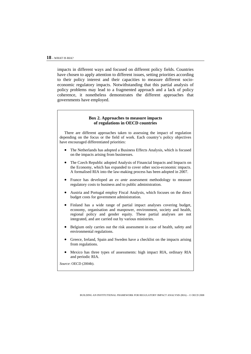<span id="page-17-0"></span>impacts in different ways and focused on different policy fields. Countries have chosen to apply attention to different issues, setting priorities according to their policy interest and their capacities to measure different socioeconomic regulatory impacts. Notwithstanding that this partial analysis of policy problems may lead to a fragmented approach and a lack of policy coherence, it nonetheless demonstrates the different approaches that governments have employed.

### **Box 2. Approaches to measure impacts of regulations in OECD countries**

There are different approaches taken to assessing the impact of regulation depending on the focus or the field of work. Each country's policy objectives have encouraged differentiated priorities:

- The Netherlands has adopted a Business Effects Analysis, which is focused on the impacts arising from businesses.
- The Czech Republic adopted Analysis of Financial Impacts and Impacts on the Economy, which has expanded to cover other socio-economic impacts. A formalised RIA into the law-making process has been adopted in 2007.
- France has developed an *ex ante* assessment methodology to measure regulatory costs to business and to public administration.
- Austria and Portugal employ Fiscal Analysis, which focuses on the direct budget costs for government administration.
- Finland has a wide range of partial impact analyses covering budget, economy, organisation and manpower, environment, society and health, regional policy and gender equity. These partial analyses are not integrated, and are carried out by various ministries.
- Belgium only carries out the risk assessment in case of health, safety and environmental regulations.
- Greece, Ireland, Spain and Sweden have a checklist on the impacts arising from regulations.
- Mexico has three types of assessments: high impact RIA, ordinary RIA and periodic RIA.

*Source*: OECD (2004b).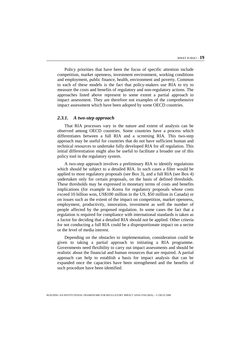<span id="page-18-0"></span>Policy priorities that have been the focus of specific attention include competition, market openness, investment environment, working conditions and employment, public finance, health, environment and poverty. Common to each of these models is the fact that policy-makers use RIA to try to measure the costs and benefits of regulatory and non-regulatory actions. The approaches listed above represent to some extent a partial approach to impact assessment. They are therefore not examples of the comprehensive impact assessment which have been adopted by some OECD countries.

#### *2.3.1. A two-step approach*

That RIA processes vary in the nature and extent of analysis can be observed among OECD countries. Some countries have a process which differentiates between a full RIA and a screening RIA. This two-step approach may be useful for countries that do not have sufficient human and technical resources to undertake fully developed RIA for all regulation. This initial differentiation might also be useful to facilitate a broader use of this policy tool in the regulatory system.

A two-step approach involves a preliminary RIA to identify regulations which should be subject to a detailed RIA. In such cases a filter would be applied to most regulatory proposals (see Box 3), and a full RIA (see Box 4) undertaken only for certain proposals, on the basis of defined thresholds. These thresholds may be expressed in monetary terms of costs and benefits implications (for example in Korea for regulatory proposals whose costs exceed 10 billion won, US\$100 million in the US, \$50 million in Canada) or on issues such as the extent of the impact on competition, market openness, employment, productivity, innovation, investment as well the number of people affected by the proposed regulation. In some cases the fact that a regulation is required for compliance with international standards is taken as a factor for deciding that a detailed RIA should not be applied. Other criteria for not conducting a full RIA could be a disproportionate impact on a sector or the level of media interest.

Depending on the obstacles to implementation, consideration could be given to taking a partial approach to initiating a RIA programme. Governments need flexibility to carry out impact assessments and should be realistic about the financial and human resources that are required. A partial approach can help to establish a basis for impact analysis that can be expanded once the capacities have been strengthened and the benefits of such procedure have been identified.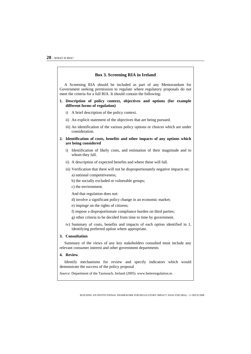#### **Box 3. Screening RIA in Ireland**

<span id="page-19-0"></span>A Screening RIA should be included as part of any Memorandum for Government seeking permission to regulate where regulatory proposals do not meet the criteria for a full RIA. It should contain the following:

#### **1. Description of policy context, objectives and options (for example different forms of regulation)**

- i) A brief description of the policy context.
- ii) An explicit statement of the objectives that are being pursued.
- iii) An identification of the various policy options or choices which are under consideration.

#### **2. Identification of costs, benefits and other impacts of any options which are being considered**

- i) Identification of likely costs, and estimation of their magnitude and to whom they fall.
- ii) A description of expected benefits and where these will fall.
- iii) Verification that there will not be disproportionately negative impacts on:
	- a) national competitiveness;
	- b) the socially excluded or vulnerable groups;
	- c) the environment.

And that regulation does not:

- d) involve a significant policy change in an economic market;
- e) impinge on the rights of citizens;
- f) impose a disproportionate compliance burden on third parties;
- g) other criteria to be decided from time to time by government.
- iv) Summary of costs, benefits and impacts of each option identified in 1, identifying preferred option where appropriate.

#### **3. Consultation**

Summary of the views of any key stakeholders consulted must include any relevant consumer interest and other government departments

#### **4. Review**

Identify mechanisms for review and specify indicators which would demonstrate the success of the policy proposal

*Source*: Department of the Taoiseach, Ireland (2005). www.betterregulation.ie.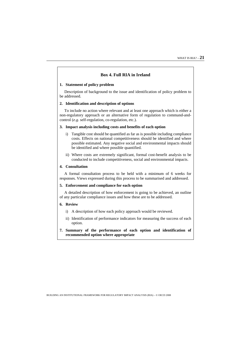## **Box 4. Full RIA in Ireland**

#### <span id="page-20-0"></span>**1. Statement of policy problem**

Description of background to the issue and identification of policy problem to be addressed.

#### **2. Identification and description of options**

To include no action where relevant and at least one approach which is either a non-regulatory approach or an alternative form of regulation to command-andcontrol (*e.g.* self-regulation, co-regulation, etc.).

#### **3. Impact analysis including costs and benefits of each option**

- i) Tangible cost should be quantified as far as is possible including compliance costs. Effects on national competitiveness should be identified and where possible estimated. Any negative social and environmental impacts should be identified and where possible quantified.
- ii) Where costs are extremely significant, formal cost-benefit analysis to be conducted to include competitiveness, social and environmental impacts.

#### **4. Consultation**

A formal consultation process to be held with a minimum of 6 weeks for responses. Views expressed during this process to be summarised and addressed.

#### **5. Enforcement and compliance for each option**

A detailed description of how enforcement is going to be achieved, an outline of any particular compliance issues and how these are to be addressed.

#### **6. Review**

- i) A description of how each policy approach would be reviewed.
- ii) Identification of performance indicators for measuring the success of each option.
- **7. Summary of the performance of each option and identification of recommended option where appropriate**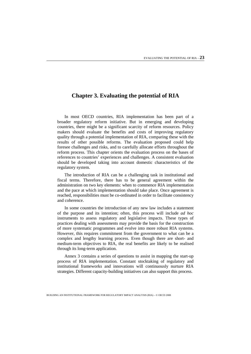# <span id="page-22-0"></span>**Chapter 3. Evaluating the potential of RIA**

In most OECD countries, RIA implementation has been part of a broader regulatory reform initiative. But in emerging and developing countries, there might be a significant scarcity of reform resources. Policy makers should evaluate the benefits and costs of improving regulatory quality through a potential implementation of RIA, comparing these with the results of other possible reforms. The evaluation proposed could help foresee challenges and risks, and to carefully allocate efforts throughout the reform process. This chapter orients the evaluation process on the bases of references to countries' experiences and challenges. A consistent evaluation should be developed taking into account domestic characteristics of the regulatory system.

The introduction of RIA can be a challenging task in institutional and fiscal terms. Therefore, there has to be general agreement within the administration on two key elements: when to commence RIA implementation and the pace at which implementation should take place. Once agreement is reached, responsibilities must be co-ordinated in order to facilitate consistency and coherence.

In some countries the introduction of any new law includes a statement of the purpose and its intention; often, this process will include *ad hoc* instruments to assess regulatory and legislative impacts. These types of practices dealing with assessments may provide the basis for the construction of more systematic programmes and evolve into more robust RIA systems. However, this requires commitment from the government to what can be a complex and lengthy learning process. Even though there are short- and medium-term objectives to RIA, the real benefits are likely to be realised through its long-term application.

Annex 3 contains a series of questions to assist in mapping the start-up process of RIA implementation. Constant stocktaking of regulatory and institutional frameworks and innovations will continuously nurture RIA strategies. Different capacity-building initiatives can also support this process.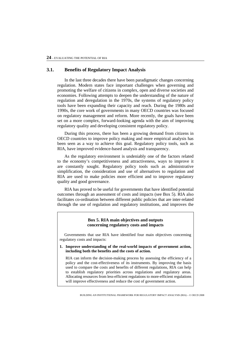## <span id="page-23-0"></span>**3.1. Benefits of Regulatory Impact Analysis**

In the last three decades there have been paradigmatic changes concerning regulation. Modern states face important challenges when governing and promoting the welfare of citizens in complex, open and diverse societies and economies. Following attempts to deepen the understanding of the nature of regulation and deregulation in the 1970s, the systems of regulatory policy tools have been expanding their capacity and reach. During the 1980s and 1990s, the core work of governments in many OECD countries was focused on regulatory management and reform. More recently, the goals have been set on a more complex, forward-looking agenda with the aim of improving regulatory quality and developing consistent regulatory policy.

During this process, there has been a growing demand from citizens in OECD countries to improve policy making and more empirical analysis has been seen as a way to achieve this goal. Regulatory policy tools, such as RIA, have improved evidence-based analysis and transparency.

As the regulatory environment is undeniably one of the factors related to the economy's competitiveness and attractiveness, ways to improve it are constantly sought. Regulatory policy tools such as administrative simplification, the consideration and use of alternatives to regulation and RIA are used to make policies more efficient and to improve regulatory quality and good governance.

RIA has proved to be useful for governments that have identified potential outcomes through an assessment of costs and impacts (see Box 5). RIA also facilitates co-ordination between different public policies that are inter-related through the use of regulation and regulatory institutions, and improves the

#### **Box 5. RIA main objectives and outputs concerning regulatory costs and impacts**

Governments that use RIA have identified four main objectives concerning regulatory costs and impacts:

#### **1. Improve understanding of the real-world impacts of government action, including both the benefits and the costs of action.**

RIA can inform the decision-making process by assessing the efficiency of a policy and the cost-effectiveness of its instruments. By improving the basis used to compare the costs and benefits of different regulations, RIA can help to establish regulatory priorities across regulations and regulatory areas. Allocating resources from less-efficient regulations to more-efficient regulations will improve effectiveness and reduce the cost of government action.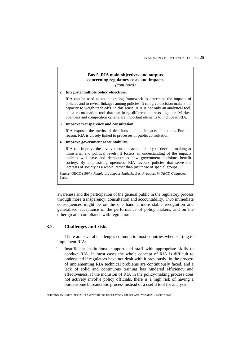# **Box 5. RIA main objectives and outputs concerning regulatory costs and impacts**

*(continued)* 

#### <span id="page-24-0"></span>**2. Integrate multiple policy objectives.**

RIA can be used as an integrating framework to determine the impacts of policies and to reveal linkages among policies. It can give decision makers the capacity to weigh trade-offs. In this sense, RIA is not only an analytical tool, but a co-ordination tool that can bring different interests together. Marketopenness and competition criteria are important elements to include in RIA.

#### **3. Improve transparency and consultation.**

RIA exposes the merits of decisions and the impacts of actions. For this reason, RIA is closely linked to processes of public consultation.

#### **4. Improve government accountability.**

RIA can improve the involvement and accountability of decision-making at ministerial and political levels. It fosters an understanding of the impacts policies will have and demonstrates how government decisions benefit society. By emphasising openness, RIA favours policies that serve the interests of society as a whole, rather than just those of special groups.

*Source*: OECD (1997), *Regulatory Impact Analysis: Best Practices in OECD Countries*, Paris.

awareness and the participation of the general public in the regulatory process through more transparency, consultation and accountability. Two immediate consequences might be on the one hand a more stable recognition and generalised acceptance of the performance of policy makers, and on the other greater compliance with regulation.

## **3.2. Challenges and risks**

There are several challenges common to most countries when starting to implement RIA:

1. Insufficient institutional support and staff with appropriate skills to conduct RIA. In most cases the whole concept of RIA is difficult to understand if regulators have not dealt with it previously. In the process of implementing RIA technical problems are continuously faced, and a lack of solid and continuous training has hindered efficiency and effectiveness. If the inclusion of RIA in the policy-making process does not actively involve policy officials, there is a high risk of having a burdensome bureaucratic process instead of a useful tool for analysis.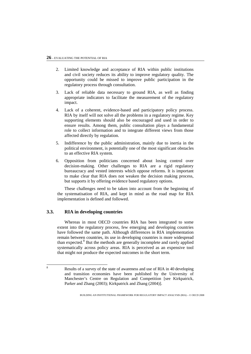- <span id="page-25-0"></span>2. Limited knowledge and acceptance of RIA within public institutions and civil society reduces its ability to improve regulatory quality. The opportunity could be missed to improve public participation in the regulatory process through consultation.
- 3. Lack of reliable data necessary to ground RIA, as well as finding appropriate indicators to facilitate the measurement of the regulatory impact.
- 4. Lack of a coherent, evidence-based and participatory policy process. RIA by itself will not solve all the problems in a regulatory regime. Key supporting elements should also be encouraged and used in order to ensure results. Among them, public consultation plays a fundamental role to collect information and to integrate different views from those affected directly by regulation.
- 5. Indifference by the public administration, mainly due to inertia in the political environment, is potentially one of the most significant obstacles to an effective RIA system.
- 6. Opposition from politicians concerned about losing control over decision-making. Other challenges to RIA are a rigid regulatory bureaucracy and vested interests which oppose reforms. It is important to make clear that RIA does not weaken the decision making process, but supports it by offering evidence based regulatory options.

These challenges need to be taken into account from the beginning of the systematisation of RIA, and kept in mind as the road map for RIA implementation is defined and followed.

## **3.3. RIA in developing countries**

Whereas in most OECD countries RIA has been integrated to some extent into the regulatory process, few emerging and developing countries have followed the same path. Although differences in RIA implementation remain between countries, its use in developing countries is more widespread than expected.<sup>[8](#page-25-1)</sup> But the methods are generally incomplete and rarely applied systematically across policy areas. RIA is perceived as an expensive tool that might not produce the expected outcomes in the short term.

<span id="page-25-1"></span> $\frac{1}{8}$ 

Results of a survey of the state of awareness and use of RIA in 40 developing and transition economies have been published by the University of Manchester's Centre on Regulation and Competition [see Kirkpatrick, Parker and Zhang (2003); Kirkpatrick and Zhang (2004)].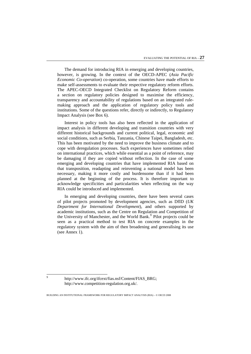The demand for introducing RIA in emerging and developing countries, however, is growing. In the context of the OECD-APEC (*Asia Pacific Economic Co-operation*) co-operation, some countries have made efforts to make self-assessments to evaluate their respective regulatory reform efforts. The APEC-OECD Integrated Checklist on Regulatory Reform contains a section on regulatory policies designed to maximise the efficiency, transparency and accountability of regulations based on an integrated rulemaking approach and the application of regulatory policy tools and institutions. Some of the questions refer, directly or indirectly, to Regulatory Impact Analysis (see Box 6).

Interest in policy tools has also been reflected in the application of impact analysis in different developing and transition countries with very different historical backgrounds and current political, legal, economic and social conditions, such as Serbia, Tanzania, Chinese Taipei, Bangladesh, etc. This has been motivated by the need to improve the business climate and to cope with deregulation processes. Such experiences have sometimes relied on international practices, which while essential as a point of reference, may be damaging if they are copied without reflection. In the case of some emerging and developing countries that have implemented RIA based on that transposition, readapting and reinventing a national model has been necessary, making it more costly and burdensome than if it had been planned at the beginning of the process. It is therefore important to acknowledge specificities and particularities when reflecting on the way RIA could be introduced and implemented.

In emerging and developing countries, there have been several cases of pilot projects promoted by development agencies, such as DfID (*UK Department for International Development*), and others supported by academic institutions, such as the Centre on Regulation and Competition of the University of Manchester, and the World Bank.<sup>[9](#page-26-0)</sup> Pilot projects could be seen as a practical method to test RIA on concrete examples in the regulatory system with the aim of then broadening and generalising its use (see Annex 1).

<span id="page-26-0"></span><sup>–&</sup>lt;br>9

[http://www.ifc.org/ifcext/fias.nsf/Content/FIAS\\_BRG](http://www.ifc.org/ifcext/fias.nsf/Content/FIAS_BRG); <http://www.competition-regulation.org.uk/>.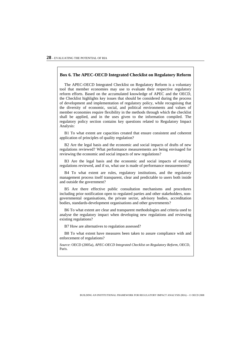#### <span id="page-27-0"></span>**Box 6. The APEC-OECD Integrated Checklist on Regulatory Reform**

The APEC-OECD Integrated Checklist on Regulatory Reform is a voluntary tool that member economies may use to evaluate their respective regulatory reform efforts. Based on the accumulated knowledge of APEC and the OECD, the Checklist highlights key issues that should be considered during the process of development and implementation of regulatory policy, while recognising that the diversity of economic, social, and political environments and values of member economies require flexibility in the methods through which the checklist shall be applied, and in the uses given to the information compiled. The regulatory policy section contains key questions related to Regulatory Impact Analysis:

B1 To what extent are capacities created that ensure consistent and coherent application of principles of quality regulation?

B2 Are the legal basis and the economic and social impacts of drafts of new regulations reviewed? What performance measurements are being envisaged for reviewing the economic and social impacts of new regulations?

B3 Are the legal basis and the economic and social impacts of existing regulations reviewed, and if so, what use is made of performance measurements?

B4 To what extent are rules, regulatory institutions, and the regulatory management process itself transparent, clear and predictable to users both inside and outside the government?

B5 Are there effective public consultation mechanisms and procedures including prior notification open to regulated parties and other stakeholders, nongovernmental organisations, the private sector, advisory bodies, accreditation bodies, standards-development organisations and other governments?

B6 To what extent are clear and transparent methodologies and criteria used to analyse the regulatory impact when developing new regulations and reviewing existing regulations?

B7 How are alternatives to regulation assessed?

B8 To what extent have measures been taken to assure compliance with and enforcement of regulations?

*Source*: OECD (2005a), *APEC-OECD Integrated Checklist on Regulatory Reform*, OECD, Paris.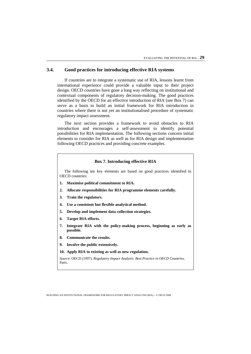## <span id="page-28-0"></span>**3.4. Good practices for introducing effective RIA systems**

If countries are to integrate a systematic use of RIA, lessons learnt from international experience could provide a valuable input to their project design. OECD countries have gone a long way reflecting on institutional and contextual components of regulatory decision-making. The good practices identified by the OECD for an effective introduction of RIA (see Box 7) can serve as a basis to build an initial framework for RIA introduction in countries where there is not yet an institutionalised procedure of systematic regulatory impact assessment.

The next section provides a framework to avoid obstacles to RIA introduction and encourages a self-assessment to identify potential possibilities for RIA implementation. The following sections concern initial elements to consider for RIA as well as for RIA design and implementation following OECD practices and providing concrete examples.

#### **Box 7. Introducing effective RIA**

The following ten key elements are based on good practices identified in OECD countries:

- **1. Maximise political commitment to RIA.**
- **2. Allocate responsibilities for RIA programme elements carefully.**
- **3. Train the regulators.**
- **4. Use a consistent but flexible analytical method.**
- **5. Develop and implement data collection strategies.**
- **6. Target RIA efforts.**
- **7. Integrate RIA with the policy-making process, beginning as early as possible.**
- **8. Communicate the results.**
- **9. Involve the public extensively.**
- **10. Apply RIA to existing as well as new regulation.**

*Source*: OECD (1997), *Regulatory Impact Analysis: Best Practice in OECD Countries*, Paris.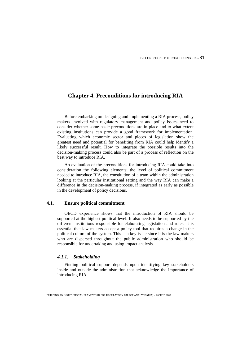# <span id="page-30-0"></span>**Chapter 4. Preconditions for introducing RIA**

Before embarking on designing and implementing a RIA process, policy makers involved with regulatory management and policy issues need to consider whether some basic preconditions are in place and to what extent existing institutions can provide a good framework for implementation. Evaluating which economic sector and pieces of legislation show the greatest need and potential for benefiting from RIA could help identify a likely successful result. How to integrate the possible results into the decision-making process could also be part of a process of reflection on the best way to introduce RIA.

An evaluation of the preconditions for introducing RIA could take into consideration the following elements: the level of political commitment needed to introduce RIA, the constitution of a team within the administration looking at the particular institutional setting and the way RIA can make a difference in the decision-making process, if integrated as early as possible in the development of policy decisions.

## **4.1. Ensure political commitment**

OECD experience shows that the introduction of RIA should be supported at the highest political level. It also needs to be supported by the different institutions responsible for elaborating legislation and rules. It is essential that law makers accept a policy tool that requires a change in the political culture of the system. This is a key issue since it is the law makers who are dispersed throughout the public administration who should be responsible for undertaking and using impact analysis.

#### *4.1.1. Stakeholding*

Finding political support depends upon identifying key stakeholders inside and outside the administration that acknowledge the importance of introducing RIA.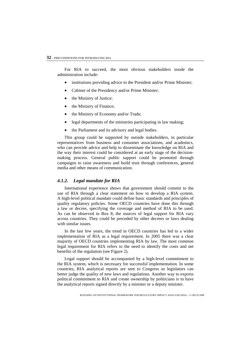<span id="page-31-0"></span>For RIA to succeed, the most obvious stakeholders inside the administration include:

- institutions providing advice to the President and/or Prime Minister;
- Cabinet of the Presidency and/or Prime Minister;
- the Ministry of Justice;
- the Ministry of Finance;
- the Ministry of Economy and/or Trade;
- legal departments of the ministries participating in law making;
- the Parliament and its advisory and legal bodies.

This group could be supported by outside stakeholders, in particular representatives from business and consumer associations, and academics, who can provide advice and help to disseminate the knowledge on RIA and the way their interest could be considered at an early stage of the decisionmaking process. General public support could be promoted through campaigns to raise awareness and build trust through conferences, general media and other means of communication.

## *4.1.2. Legal mandate for RIA*

International experience shows that government should commit to the use of RIA through a clear statement on how to develop a RIA system. A high-level political mandate could define basic standards and principles of quality regulatory policies. Some OECD countries have done this through a law or decree, specifying the coverage and method of RIA to be used. As can be observed in Box 8, the sources of legal support for RIA vary across countries. They could be preceded by other decrees or laws dealing with similar issues.

In the last few years, the trend in OECD countries has led to a wider implementation of RIA as a legal requirement. In 2005 there was a clear majority of OECD countries implementing RIA by law. The most common legal requirement for RIA refers to the need to identify the costs and net benefits of the regulation (see Figure 2).

Legal support should be accompanied by a high-level commitment to the RIA system, which is necessary for successful implementation. In some countries, RIA analytical reports are sent to Congress so legislators can better judge the quality of new laws and regulations. Another way to express political commitment to RIA and create ownership by politicians is to have the analytical reports signed directly by a minister or a deputy minister.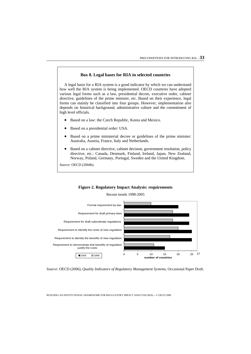### **Box 8. Legal bases for RIA in selected countries**

<span id="page-32-0"></span>A legal basis for a RIA system is a good indicator by which we can understand how well the RIA system is being implemented. OECD countries have adopted various legal forms such as a law, presidential decree, executive order, cabinet directive, guidelines of the prime minister, etc. Based on their experience, legal forms can mainly be classified into four groups. However, implementation also depends on historical background, administrative culture and the commitment of high level officials.

- Based on a law: the Czech Republic, Korea and Mexico.
- Based on a presidential order: USA.
- Based on a prime ministerial decree or guidelines of the prime minister: Australia, Austria, France, Italy and Netherlands.
- Based on a cabinet directive, cabinet decision, government resolution, policy directive, etc.: Canada, Denmark, Finland, Ireland, Japan, New Zealand, Norway, Poland, Germany, Portugal, Sweden and the United Kingdom.

*Source*: OECD (2004b).

#### **Figure 2. Regulatory Impact Analysis: requirements**



Recent trends 1998-2005

*Source*: OECD (2006), *Quality Indicators of Regulatory Management Systems*, Occasional Paper Draft.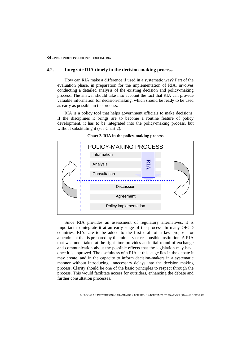## <span id="page-33-0"></span>**4.2. Integrate RIA timely in the decision-making process**

How can RIA make a difference if used in a systematic way? Part of the evaluation phase, in preparation for the implementation of RIA, involves conducting a detailed analysis of the existing decision and policy-making process. The answer should take into account the fact that RIA can provide valuable information for decision-making, which should be ready to be used as early as possible in the process.

RIA is a policy tool that helps government officials to make decisions. If the disciplines it brings are to become a routine feature of policy development, it has to be integrated into the policy-making process, but without substituting it (see Chart 2).



**Chart 2. RIA in the policy-making process** 

Since RIA provides an assessment of regulatory alternatives, it is important to integrate it at an early stage of the process. In many OECD countries, RIAs are to be added to the first draft of a law proposal or amendment that is prepared by the ministry or responsible institution. A RIA that was undertaken at the right time provides an initial round of exchange and communication about the possible effects that the legislation may have once it is approved. The usefulness of a RIA at this stage lies in the debate it may create, and in the capacity to inform decision-makers in a systematic manner without introducing unnecessary delays into the decision making process. Clarity should be one of the basic principles to respect through the process. This would facilitate access for outsiders, enhancing the debate and further consultation processes.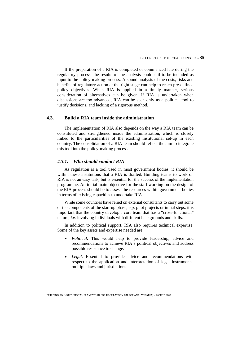<span id="page-34-0"></span>If the preparation of a RIA is completed or commenced late during the regulatory process, the results of the analysis could fail to be included as input to the policy-making process. A sound analysis of the costs, risks and benefits of regulatory action at the right stage can help to reach pre-defined policy objectives. When RIA is applied in a timely manner, serious consideration of alternatives can be given. If RIA is undertaken when discussions are too advanced, RIA can be seen only as a political tool to justify decisions, and lacking of a rigorous method.

#### **4.3. Build a RIA team inside the administration**

The implementation of RIA also depends on the way a RIA team can be constituted and strengthened inside the administration, which is closely linked to the particularities of the existing institutional set-up in each country. The consolidation of a RIA team should reflect the aim to integrate this tool into the policy-making process.

## *4.3.1. Who should conduct RIA*

As regulation is a tool used in most government bodies, it should be within these institutions that a RIA is drafted. Building teams to work on RIA is not an easy task, but is essential for the success of the implementation programme. An initial main objective for the staff working on the design of the RIA process should be to assess the resources within government bodies in terms of existing capacities to undertake RIA.

While some countries have relied on external consultants to carry out some of the components of the start-up phase, *e.g.* pilot projects or initial steps, it is important that the country develop a core team that has a "cross-functional" nature, *i.e.* involving individuals with different backgrounds and skills.

In addition to political support, RIA also requires technical expertise. Some of the key assets and expertise needed are:

- *Political*. This would help to provide leadership, advice and recommendations to achieve RIA's political objectives and address possible resistance to change.
- *Legal*. Essential to provide advice and recommendations with respect to the application and interpretation of legal instruments, multiple laws and jurisdictions.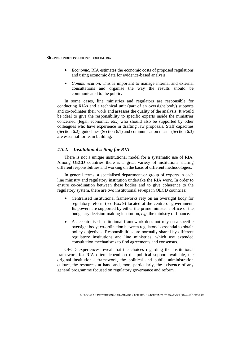- <span id="page-35-0"></span>• *Economic*. RIA estimates the economic costs of proposed regulations and using economic data for evidence-based analysis.
- *Communication*. This is important to manage internal and external consultations and organise the way the results should be communicated to the public.

In some cases, line ministries and regulators are responsible for conducting RIAs and a technical unit (part of an oversight body) supports and co-ordinates their work and assesses the quality of the analysis. It would be ideal to give the responsibility to specific experts inside the ministries concerned (legal, economic, etc.) who should also be supported by other colleagues who have experience in drafting law proposals. Staff capacities (Section 6.2), guidelines (Section 6.1) and communication means (Section 6.3) are essential for team building.

## *4.3.2. Institutional setting for RIA*

There is not a unique institutional model for a systematic use of RIA. Among OECD countries there is a great variety of institutions sharing different responsibilities and working on the basis of different methodologies.

In general terms, a specialised department or group of experts in each line ministry and regulatory institution undertake the RIA work. In order to ensure co-ordination between these bodies and to give coherence to the regulatory system, there are two institutional set-ups in OECD countries:

- Centralised institutional frameworks rely on an oversight body for regulatory reform (see Box 9) located at the centre of government. Its powers are supported by either the prime minister's office or the budgetary decision-making institution, *e.g.* the ministry of finance.
- A decentralised institutional framework does not rely on a specific oversight body; co-ordination between regulators is essential to obtain policy objectives. Responsibilities are normally shared by different regulatory institutions and line ministries, which use extended consultation mechanisms to find agreements and consensus.

OECD experiences reveal that the choices regarding the institutional framework for RIA often depend on the political support available, the original institutional framework, the political and public administration culture, the resources at hand and, more particularly, the existence of any general programme focused on regulatory governance and reform.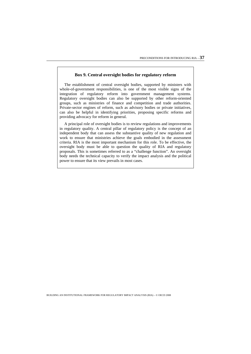#### **Box 9. Central oversight bodies for regulatory reform**

The establishment of central oversight bodies, supported by ministers with whole-of-government responsibilities, is one of the most visible signs of the integration of regulatory reform into government management systems. Regulatory oversight bodies can also be supported by other reform-oriented groups, such as ministries of finance and competition and trade authorities. Private-sector engines of reform, such as advisory bodies or private initiatives, can also be helpful in identifying priorities, proposing specific reforms and providing advocacy for reform in general.

A principal role of oversight bodies is to review regulations and improvements in regulatory quality. A central pillar of regulatory policy is the concept of an independent body that can assess the substantive quality of new regulation and work to ensure that ministries achieve the goals embodied in the assessment criteria. RIA is the most important mechanism for this role. To be effective, the oversight body must be able to question the quality of RIA and regulatory proposals. This is sometimes referred to as a "challenge function". An oversight body needs the technical capacity to verify the impact analysis and the political power to ensure that its view prevails in most cases.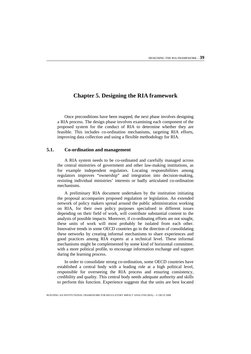# **Chapter 5. Designing the RIA framework**

Once preconditions have been mapped, the next phase involves designing a RIA process. The design phase involves examining each component of the proposed system for the conduct of RIA to determine whether they are feasible. This includes co-ordination mechanisms, targeting RIA efforts, improving data collection and using a flexible methodology for RIA.

## **5.1. Co-ordination and management**

A RIA system needs to be co-ordinated and carefully managed across the central ministries of government and other law-making institutions, as for example independent regulators. Locating responsibilities among regulators improves "ownership" and integration into decision-making, resisting individual ministries' interests or badly articulated co-ordination mechanisms.

A preliminary RIA document undertaken by the institution initiating the proposal accompanies proposed regulation or legislation. An extended network of policy makers spread around the public administration working on RIA, for their own policy purposes specialised in different issues depending on their field of work, will contribute substantial content to the analysis of possible impacts. Moreover, if co-ordinating efforts are not sought, these units of work will most probably be isolated from each other. Innovative trends in some OECD countries go in the direction of consolidating these networks by creating informal mechanisms to share experiences and good practices among RIA experts at a technical level. These informal mechanisms might be complemented by some kind of horizontal committee, with a more political profile, to encourage information exchange and support during the learning process.

In order to consolidate strong co-ordination, some OECD countries have established a central body with a leading role at a high political level, responsible for overseeing the RIA process and ensuring consistency, credibility and quality. This central body needs adequate authority and skills to perform this function. Experience suggests that the units are best located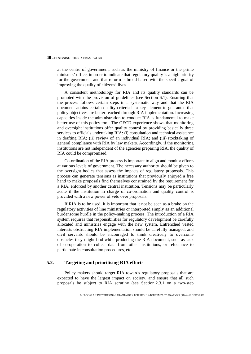at the centre of government, such as the ministry of finance or the prime ministers' office, in order to indicate that regulatory quality is a high priority for the government and that reform is broad-based with the specific goal of improving the quality of citizens' lives.

A consistent methodology for RIA and its quality standards can be promoted with the provision of guidelines (see Section 6.1). Ensuring that the process follows certain steps in a systematic way and that the RIA document attains certain quality criteria is a key element to guarantee that policy objectives are better reached through RIA implementation. Increasing capacities inside the administration to conduct RIA is fundamental to make better use of this policy tool. The OECD experience shows that monitoring and oversight institutions offer quality control by providing basically three services to officials undertaking RIA: (i) consultation and technical assistance in drafting RIA; (ii) review of an individual RIA; and (iii) stocktaking of general compliance with RIA by law makers. Accordingly, if the monitoring institutions are not independent of the agencies preparing RIA, the quality of RIA could be compromised.

Co-ordination of the RIA process is important to align and monitor efforts at various levels of government. The necessary authority should be given to the oversight bodies that assess the impacts of regulatory proposals. This process can generate tensions as institutions that previously enjoyed a free hand to make proposals find themselves constrained by the requirement for a RIA, enforced by another central institution. Tensions may be particularly acute if the institution in charge of co-ordination and quality control is provided with a new power of veto over proposals.

If RIA is to be used, it is important that it not be seen as a brake on the regulatory activities of line ministries or interpreted simply as an additional burdensome hurdle in the policy-making process. The introduction of a RIA system requires that responsibilities for regulatory development be carefully allocated and ministries engage with the new system. Entrenched vested interests obstructing RIA implementation should be carefully managed; and civil servants should be encouraged to think creatively to overcome obstacles they might find while producing the RIA document, such as lack of co-operation to collect data from other institutions, or reluctance to participate in consultation procedures, etc.

## **5.2. Targeting and prioritising RIA efforts**

Policy makers should target RIA towards regulatory proposals that are expected to have the largest impact on society, and ensure that all such proposals be subject to RIA scrutiny (see Section 2.3.1 on a two-step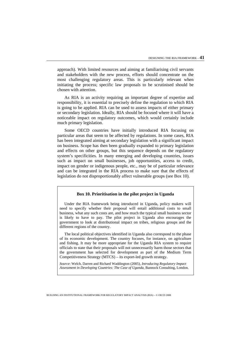approach). With limited resources and aiming at familiarising civil servants and stakeholders with the new process, efforts should concentrate on the most challenging regulatory areas. This is particularly relevant when initiating the process; specific law proposals to be scrutinised should be chosen with attention.

As RIA is an activity requiring an important degree of expertise and responsibility, it is essential to precisely define the regulation to which RIA is going to be applied. RIA can be used to assess impacts of either primary or secondary legislation. Ideally, RIA should be focused where it will have a noticeable impact on regulatory outcomes, which would certainly include much primary legislation.

Some OECD countries have initially introduced RIA focusing on particular areas that seem to be affected by regulations. In some cases, RIA has been integrated aiming at secondary legislation with a significant impact on business. Scope has then been gradually expanded to primary legislation and effects on other groups, but this sequence depends on the regulatory system's specificities. In many emerging and developing countries, issues such as impact on small businesses, job opportunities, access to credit, impact on gender or indigenous people, etc., may be of particular relevance and can be integrated in the RIA process to make sure that the effects of legislation do not disproportionably affect vulnerable groups (see Box 10).

#### **Box 10. Prioritisation in the pilot project in Uganda**

Under the RIA framework being introduced in Uganda, policy makers will need to specify whether their proposal will entail additional costs to small business, what any such costs are, and how much the typical small business sector is likely to have to pay. The pilot project in Uganda also encourages the government to look at distributional impact on tribes, religious groups and the different regions of the country.

The local political objectives identified in Uganda also correspond to the phase of its economic development. The country focuses, for instance, on agriculture and fishing. It may be more appropriate for the Uganda RIA system to require officials to state that their proposals will not unnecessarily harm those sectors that the government has selected for development as part of the Medium Term Competitiveness Strategy (MTCS) – its export-led growth strategy.

*Source*: Welch, Darren and Richard Waddington (2005), *Introducing Regulatory Impact Assessment in Developing Countries: The Case of Uganda*, Bannock Consulting, London.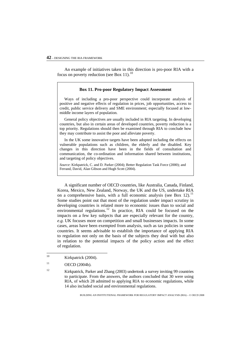An example of initiatives taken in this direction is pro-poor RIA with a focus on poverty reduction (see Box 11).<sup>[10](#page-41-0)</sup>

## **Box 11. Pro-poor Regulatory Impact Assessment**

Ways of including a pro-poor perspective could incorporate analysis of positive and negative effects of regulation in prices, job opportunities, access to credit, public service delivery and SME environment; especially focused at lowmiddle income layers of population.

General policy objectives are usually included in RIA targeting. In developing countries, but also in certain areas of developed countries, poverty reduction is a top priority. Regulations should then be examined through RIA to conclude how they may contribute to assist the poor and alleviate poverty.

In the UK some innovative targets have been adopted including the effects on vulnerable populations such as children, the elderly and the disabled. Key changes in this direction have been in the fields of consultation and communication, the co-ordination and information shared between institutions, and targeting of policy objectives.

*Source*: Kirkpatrick, C. and D. Parker (2004); Better Regulation Task Force (2000); and Ferrand, David, Alan Gibson and Hugh Scott (2004).

A significant number of OECD countries, like Australia, Canada, Finland, Korea, Mexico, New Zealand, Norway, the UK and the US, undertake RIA on a comprehensive basis, with a full economic analysis (see Box 12).<sup>[11](#page-41-1)</sup> Some studies point out that most of the regulation under impact scrutiny in developing countries is related more to economic issues than to social and environmental regulations.<sup>[12](#page-41-2)</sup> In practice, RIA could be focused on the impacts on a few key subjects that are especially relevant for the country, *e.g.* UK focuses more on competition and small businesses impacts. In some cases, areas have been exempted from analysis, such as tax policies in some countries. It seems advisable to establish the importance of applying RIA to regulation not only on the basis of the subjects they deal with but also in relation to the potential impacts of the policy action and the effect of regulation.

<span id="page-41-0"></span> $10$ Kirkpatrick (2004).

<span id="page-41-1"></span> $11$  OECD (2004b).

<span id="page-41-2"></span><sup>&</sup>lt;sup>12</sup> Kirkpatrick, Parker and Zhang (2003) undertook a survey inviting 99 countries to participate. From the answers, the authors concluded that 30 were using RIA, of which 28 admitted to applying RIA to economic regulations, while 14 also included social and environmental regulations.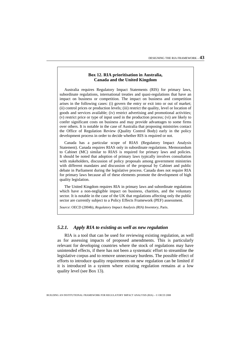## **Box 12. RIA prioritisation in Australia, Canada and the United Kingdom**

Australia requires Regulatory Impact Statements (RIS) for primary laws, subordinate regulations, international treaties and quasi-regulations that have an impact on business or competition. The impact on business and competition arises in the following cases: (i) govern the entry or exit into or out of market; (ii) control prices or production levels; (iii) restrict the quality, level or location of goods and services available; (iv) restrict advertising and promotional activities; (v) restrict price or type of input used in the production process; (vi) are likely to confer significant costs on business and may provide advantages to some firms over others. It is notable in the case of Australia that proposing ministries contact the Office of Regulation Review (Quality Control Body) early in the policy development process in order to decide whether RIS is required or not.

Canada has a particular scope of RIAS (Regulatory Impact Analysis Statement). Canada requires RIAS only in subordinate regulations. Memorandum to Cabinet (MC) similar to RIAS is required for primary laws and policies. It should be noted that adoption of primary laws typically involves consultation with stakeholders, discussion of policy proposals among government ministries with different mandates and discussion of the proposal by Cabinet and public debate in Parliament during the legislative process. Canada does not require RIA for primary laws because all of these elements promote the development of high quality legislation.

The United Kingdom requires RIA in primary laws and subordinate regulations which have a non-negligible impact on business, charities, and the voluntary sector. It is notable in the case of the UK that regulations affecting only the public sector are currently subject to a Policy Effects Framework (PEF) assessment.

*Source*: OECD (2004b), *Regulatory Impact Analysis (RIA) Inventory*, Paris.

## *5.2.1. Apply RIA to existing as well as new regulation*

RIA is a tool that can be used for reviewing existing regulation, as well as for assessing impacts of proposed amendments. This is particularly relevant for developing countries where the stock of regulations may have unintended effects, if there has not been a systematic effort to streamline the legislative corpus and to remove unnecessary burdens. The possible effect of efforts to introduce quality requirements on new regulation can be limited if it is introduced in a system where existing regulation remains at a low quality level (see Box 13).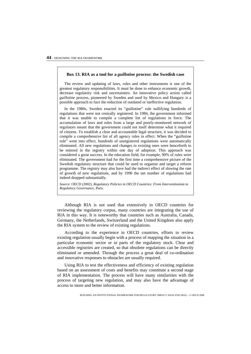#### **Box 13. RIA as a tool for a** *guillotine* **process: the Swedish case**

The review and updating of laws, rules and other instruments is one of the greatest regulatory responsibilities. It must be done to enhance economic growth, decrease regulatory risk and uncertainties. An innovative policy action called *guillotine* process, pioneered by Sweden and used by Mexico and Hungary is a possible approach to face the reduction of outdated or ineffective regulation.

In the 1980s, Sweden enacted its "guillotine" rule nullifying hundreds of regulations that were not centrally registered. In 1984, the government informed that it was unable to compile a complete list of regulations in force. The accumulation of laws and rules from a large and poorly-monitored network of regulators meant that the government could not itself determine what it required of citizens. To establish a clear and accountable legal structure, it was decided to compile a comprehensive list of all agency rules in effect. When the "guillotine rule" went into effect, hundreds of unregistered regulations were automatically eliminated. All new regulations and changes to existing ones were henceforth to be entered in the registry within one day of adoption. This approach was considered a great success. In the education field, for example, 90% of rules were eliminated. The government had for the first time a comprehensive picture of the Swedish regulatory structure that could be used to organise and target a reform programme. The registry may also have had the indirect effect of slowing the rate of growth of new regulations, and by 1996 the net number of regulations had indeed dropped substantially.

*Source*: OECD (2002), *Regulatory Policies in OECD Countries: From Interventionism to Regulatory Governance*, Paris.

Although RIA is not used that extensively in OECD countries for reviewing the regulatory corpus, many countries are integrating the use of RIA in this way. It is noteworthy that countries such as Australia, Canada, Germany, the Netherlands, Switzerland and the United Kingdom also apply the RIA system to the review of existing regulations.

According to the experience in OECD countries, efforts to review existing regulation usually begin with a process of mapping the situation in a particular economic sector or in parts of the regulatory stock. Clear and accessible registries are created, so that obsolete regulations can be directly eliminated or amended. Through the process a great deal of co-ordination and innovative responses to obstacles are usually required.

Using RIA to test the effectiveness and efficiency of existing regulation based on an assessment of costs and benefits may constitute a second stage of RIA implementation. The process will have many similarities with the process of targeting new regulation, and may also have the advantage of access to more and better information.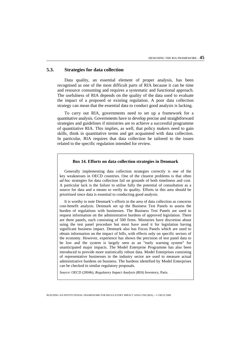## **5.3. Strategies for data collection**

Data quality, an essential element of proper analysis, has been recognised as one of the most difficult parts of RIA because it can be time and resource consuming and requires a systematic and functional approach. The usefulness of RIA depends on the quality of the data used to evaluate the impact of a proposed or existing regulation. A poor data collection strategy can mean that the essential data to conduct good analysis is lacking.

To carry out RIA, governments need to set up a framework for a quantitative analysis. Governments have to develop precise and straightforward strategies and guidelines if ministries are to achieve a successful programme of quantitative RIA. This implies, as well, that policy makers need to gain skills, think in quantitative terms and get acquainted with data collection. In particular, RIA requires that data collection be tailored to the issues related to the specific regulation intended for review.

#### **Box 14. Efforts on data collection strategies in Denmark**

Generally implementing data collection strategies correctly is one of the key weaknesses in OECD countries. One of the clearest problems is that often *ad hoc* strategies for data collection fail on grounds of both timeliness and cost. A particular lack is the failure to utilise fully the potential of consultation as a source for data and a means to verify its quality. Efforts in this area should be prioritised since data is essential to conducting good analysis.

It is worthy to note Denmark's efforts in the area of data collection as concerns cost-benefit analysis. Denmark set up the Business Test Panels to assess the burden of regulations with businesses. The Business Test Panels are used to request information on the administrative burdens of approved legislation. There are three panels, each consisting of 500 firms. Ministries have discretion about using the test panel procedure but most have used it for legislation having significant business impact. Denmark also has Focus Panels which are used to obtain information on the impact of bills, with effects only on specific sectors of the economy. However, experience has shown the precision of test panel data to be low and the system is largely seen as an "early warning system" for unanticipated major impacts. The Model Enterprise Programme has also been introduced to provide more statistically robust data. Model Enterprises consisting of representative businesses in the industry sector are used to measure actual administrative burdens on business. The burdens identified by Model Enterprises can be checked in similar regulatory proposals.

*Source*: OECD (2004b), *Regulatory Impact Analysis (RIA) Inventory*, Paris.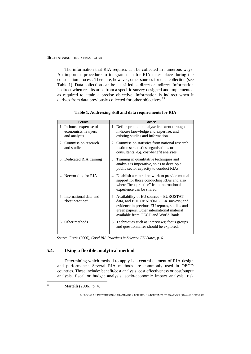The information that RIA requires can be collected in numerous ways. An important procedure to integrate data for RIA takes place during the consultation process. There are, however, other sources for data collection (see Table 1). Data collection can be classified as direct or indirect. Information is direct when results arise from a specific survey designed and implemented as required to attain a precise objective. Information is indirect when it derives from data previously collected for other objectives.<sup>[13](#page-45-0)</sup>

| Source                                                          | Action                                                                                                                                                                                                                |
|-----------------------------------------------------------------|-----------------------------------------------------------------------------------------------------------------------------------------------------------------------------------------------------------------------|
| 1. In-house expertise of<br>economists; lawyers<br>and analysts | 1. Define problem; analyse its extent through<br>in-house knowledge and expertise, and<br>existing studies and information.                                                                                           |
| 2. Commission research<br>and studies                           | 2. Commission statistics from national research<br>institutes; statistics organisations or<br>consultants, e.g. cost-benefit analyses.                                                                                |
| 3. Dedicated RIA training                                       | 3. Training in quantitative techniques and<br>analysis is imperative, so as to develop a<br>public sector capacity to conduct RIAs.                                                                                   |
| 4. Networking for RIA                                           | 4. Establish a central network to provide mutual<br>support for those conducting RIAs and also<br>where "best practice" from international<br>experience can be shared.                                               |
| 5. International data and<br>"best practice"                    | 5. Availability of EU sources – EUROSTAT<br>data, and EUROBAROMETER surveys; and<br>evidence in previous EU reports, studies and<br>green papers. Other international material<br>available from OECD and World Bank. |
| 6. Other methods                                                | 6. Techniques such as interviews; focus groups<br>and questionnaires should be explored.                                                                                                                              |

**Table 1. Addressing skill and data requirements for RIA** 

*Source*: Ferris (2006), *Good RIA Practices in Selected EU States*, p. 6.

# **5.4. Using a flexible analytical method**

Determining which method to apply is a central element of RIA design and performance. Several RIA methods are commonly used in OECD countries. These include: benefit/cost analysis, cost effectiveness or cost/output analysis, fiscal or budget analysis, socio-economic impact analysis, risk

Martelli (2006), p. 4.

<span id="page-45-0"></span>13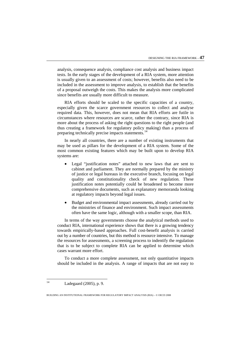analysis, consequence analysis, compliance cost analysis and business impact tests. In the early stages of the development of a RIA system, more attention is usually given to an assessment of costs; however, benefits also need to be included in the assessment to improve analysis, to establish that the benefits of a proposal outweigh the costs. This makes the analysis more complicated since benefits are usually more difficult to measure.

RIA efforts should be scaled to the specific capacities of a country, especially given the scarce government resources to collect and analyse required data. This, however, does not mean that RIA efforts are futile in circumstances where resources are scarce, rather the contrary, since RIA is more about the process of asking the right questions to the right people (and thus creating a framework for regulatory policy making) than a process of preparing technically precise impacts statements.[14](#page-46-0)

In nearly all countries, there are a number of existing instruments that may be used as pillars for the development of a RIA system. Some of the most common existing features which may be built upon to develop RIA systems are:

- Legal "justification notes" attached to new laws that are sent to cabinet and parliament. They are normally prepared by the ministry of justice or legal bureaus in the executive branch, focusing on legal quality and constitutionality check of new regulation. These justification notes potentially could be broadened to become more comprehensive documents, such as explanatory memoranda looking at regulatory impacts beyond legal issues.
- Budget and environmental impact assessments, already carried out by the ministries of finance and environment. Such impact assessments often have the same logic, although with a smaller scope, than RIA.

In terms of the way governments choose the analytical methods used to conduct RIA, international experience shows that there is a growing tendency towards empirically-based approaches. Full cost-benefit analysis is carried out by a number of countries, but this method is resource intensive. To manage the resources for assessments, a screening process to indentify the regulation that is to be subject to complete RIA can be applied to determine which cases warrant more effort.

To conduct a more complete assessment, not only quantitative impacts should be included in the analysis. A range of impacts that are not easy to

Ladegaard (2005), p. 9.

<span id="page-46-0"></span>14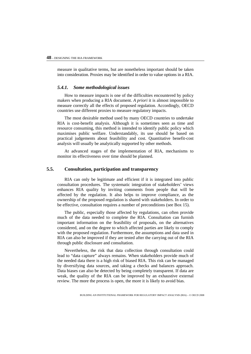measure in qualitative terms, but are nonetheless important should be taken into consideration. Proxies may be identified in order to value options in a RIA.

## *5.4.1. Some methodological issues*

How to measure impacts is one of the difficulties encountered by policy makers when producing a RIA document. *A priori* it is almost impossible to measure correctly all the effects of proposed regulation. Accordingly, OECD countries use different proxies to measure regulatory impacts.

The most desirable method used by many OECD countries to undertake RIA is cost-benefit analysis. Although it is sometimes seen as time and resource consuming, this method is intended to identify public policy which maximises public welfare. Understandably, its use should be based on practical judgements about feasibility and cost. Quantitative benefit-cost analysis will usually be analytically supported by other methods.

At advanced stages of the implementation of RIA, mechanisms to monitor its effectiveness over time should be planned.

## **5.5. Consultation, participation and transparency**

RIA can only be legitimate and efficient if it is integrated into public consultation procedures. The systematic integration of stakeholders' views enhances RIA quality by inviting comments from people that will be affected by the regulation. It also helps to improve compliance, as the ownership of the proposed regulation is shared with stakeholders. In order to be effective, consultation requires a number of preconditions (see Box 15).

The public, especially those affected by regulations, can often provide much of the data needed to complete the RIA. Consultation can furnish important information on the feasibility of proposals, on the alternatives considered, and on the degree to which affected parties are likely to comply with the proposed regulation. Furthermore, the assumptions and data used in RIA can also be improved if they are tested after the carrying out of the RIA through public disclosure and consultation.

Nevertheless, the risk that data collection through consultation could lead to "data capture" always remains. When stakeholders provide much of the needed data there is a high risk of biased RIA. This risk can be managed by diversifying data sources, and taking a checks and balances approach. Data biases can also be detected by being completely transparent. If data are weak, the quality of the RIA can be improved by an exhaustive external review. The more the process is open, the more it is likely to avoid bias.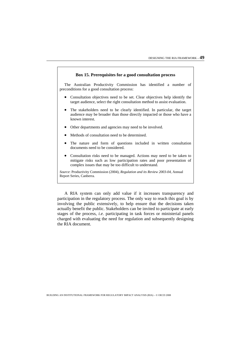#### **Box 15. Prerequisites for a good consultation process**

The Australian Productivity Commission has identified a number of preconditions for a good consultation process:

- Consultation objectives need to be set. Clear objectives help identify the target audience, select the right consultation method to assist evaluation.
- The stakeholders need to be clearly identified. In particular, the target audience may be broader than those directly impacted or those who have a known interest.
- Other departments and agencies may need to be involved.
- Methods of consultation need to be determined.
- The nature and form of questions included in written consultation documents need to be considered.
- Consultation risks need to be managed. Actions may need to be taken to mitigate risks such as low participation rates and poor presentation of complex issues that may be too difficult to understand.

*Source*: Productivity Commission (2004), *Regulation and its Review 2003-04*, Annual Report Series, Canberra.

A RIA system can only add value if it increases transparency and participation in the regulatory process. The only way to reach this goal is by involving the public extensively, to help ensure that the decisions taken actually benefit the public. Stakeholders can be invited to participate at early stages of the process, *i.e.* participating in task forces or ministerial panels charged with evaluating the need for regulation and subsequently designing the RIA document.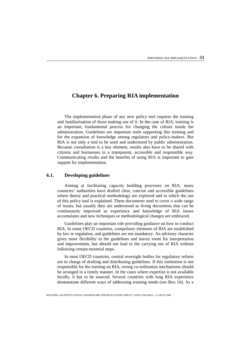# **Chapter 6. Preparing RIA implementation**

The implementation phase of any new policy tool requires the training and familiarisation of those making use of it. In the case of RIA, training is an important, fundamental process for changing the culture inside the administration. Guidelines are important tools supporting this training and for the expansion of knowledge among regulators and policy-makers. But RIA is not only a tool to be used and understood by public administration. Because consultation is a key element, results also have to be shared with citizens and businesses in a transparent, accessible and responsible way. Communicating results and the benefits of using RIA is important to gain support for implementation.

## **6.1. Developing guidelines**

Aiming at facilitating capacity building processes on RIA, many countries' authorities have drafted clear, concise and accessible guidelines where theory and practical methodology are explored and in which the use of this policy tool is explained. These documents tend to cover a wide range of issues, but usually they are understood as living documents that can be continuously improved as experience and knowledge of RIA issues accumulates and new techniques or methodological changes are embraced.

Guidelines play an important role providing guidance on how to conduct RIA. In some OECD countries, compulsory elements of RIA are established by law or regulation, and guidelines are not mandatory. An advisory character gives more flexibility to the guidelines and leaves room for interpretation and improvement, but should not lead to the carrying out of RIA without following certain essential steps.

In most OECD countries, central oversight bodies for regulatory reform are in charge of drafting and distributing guidelines. If this institution is not responsible for the training on RIA, strong co-ordination mechanisms should be arranged in a timely manner. In the cases where expertise is not available locally, it has to be sourced. Several countries with long RIA experience demonstrate different ways of addressing training needs (see Box 16). As a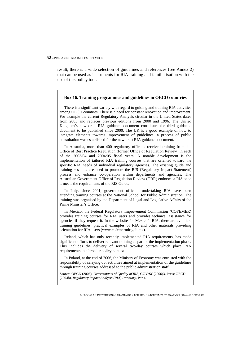result, there is a wide selection of guidelines and references (see Annex 2) that can be used as instruments for RIA training and familiarisation with the use of this policy tool.

#### **Box 16. Training programmes and guidelines in OECD countries**

There is a significant variety with regard to guiding and training RIA activities among OECD countries. There is a need for constant renovation and improvement. For example the current Regulatory Analysis circular in the United States dates from 2003 and replaces previous editions from 2000 and 1996. The United Kingdom's new draft RIA guidance document constitutes the third guidance document to be published since 2000. The UK is a good example of how to integrate elements towards improvement of guidelines; a process of public consultation was established for the new draft RIA guidance document.

In Australia, more than 400 regulatory officials received training from the Office of Best Practice Regulation (former Office of Regulation Review) in each of the 2003/04 and 2004/05 fiscal years. A notable development is the implementation of tailored RIA training courses that are oriented toward the specific RIA needs of individual regulatory agencies. The existing guide and training sessions are used to promote the RIS (Regulatory Impact Statement) process and enhance co-operation within departments and agencies. The Australian Government Office of Regulation Review (ORR) endorses a RIS once it meets the requirements of the RIS Guide.

In Italy, since 2001, government officials undertaking RIA have been attending training courses at the National School for Public Administration. The training was organised by the Department of Legal and Legislative Affairs of the Prime Minister's Office.

In Mexico, the Federal Regulatory Improvement Commission (COFEMER) provides training courses for RIA users and provides technical assistance for agencies if they request it. In the website for Mexico's RIA, there are available training guidelines, practical examples of RIA and other materials providing orientation for RIA users (www.cofemermir.gob.mx).

Ireland, which has only recently implemented RIA requirements, has made significant efforts to deliver relevant training as part of the implementation phase. This includes the delivery of several two-day courses which place RIA requirements in a broader policy context.

In Poland, at the end of 2006, the Ministry of Economy was entrusted with the responsibility of carrying out activities aimed at implementation of the guidelines through training courses addressed to the public administration staff.

*Source*: OECD (2006), *Determinants of Quality of RIA*, GOV/SG(2006)3, Paris; OECD (2004b), *Regulatory Impact Analysis (RIA) Inventory*, Paris.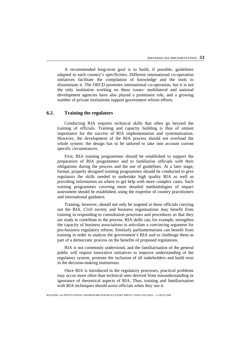A recommended long-term goal is to build, if possible, guidelines adapted to each country's specificities. Different international co-operation initiatives facilitate the compilation of knowledge and the tools to disseminate it. The OECD promotes international co-operation, but it is not the only institution working on these issues: multilateral and national development agencies have also played a prominent role, and a growing number of private institutions support government reform efforts.

## **6.2. Training the regulators**

Conducting RIA requires technical skills that often go beyond the training of officials. Training and capacity building is thus of utmost importance for the success of RIA implementation and systematisation. However, the development of the RIA process should not overload the whole system: the design has to be tailored to take into account current specific circumstances.

First, RIA training programmes should be established to support the preparation of RIA programmes and to familiarise officials with their obligations during the process and the use of guidelines. At a later stage, formal, properly designed training programmes should be conducted to give regulators the skills needed to undertake high quality RIA as well as providing information on where to get help with more complex cases. Such training programmes covering more detailed methodologies of impact assessment should be established, using the expertise of country practitioners and international guidance.

Training, however, should not only be targeted at those officials carrying out the RIA. Civil society and business organisations may benefit from training in responding to consultation processes and procedures so that they are ready to contribute to the process. RIA skills can, for example, strengthen the capacity of business associations to articulate a convincing argument for pro-business regulatory reform. Similarly parliamentarians can benefit from training in order to analyse the government's RIA and to challenge them as part of a democratic process on the benefits of proposed regulations.

RIA is not commonly understood, and the familiarisation of the general public will require innovative initiatives to improve understanding of the regulatory system, promote the inclusion of all stakeholders and build trust in the decision-making institutions.

Once RIA is introduced in the regulatory processes, practical problems may occur more often than technical ones derived from misunderstanding or ignorance of theoretical aspects of RIA. Thus, training and familiarisation with RIA techniques should assist officials when they use it.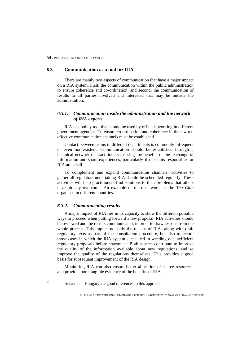## **6.3. Communication as a tool for RIA**

There are mainly two aspects of communication that have a major impact on a RIA system. First, the communication within the public administration to ensure coherence and co-ordination, and second, the communication of results to all parties involved and interested that may be outside the administration.

# *6.3.1. Communication inside the administration and the network of RIA experts*

RIA is a policy tool that should be used by officials working in different government agencies. To ensure co-ordination and coherence in their work, effective communication channels must be established.

Contact between teams in different departments is commonly infrequent or even non-existent. Communication should be established through a technical network of practitioners to bring the benefits of the exchange of information and share experiences, particularly if the units responsible for RIA are small.

To complement and expand communication channels, activities to gather all regulators undertaking RIA should be scheduled regularly. These activities will help practitioners find solutions to their problems that others have already overcome. An example of these networks is the *Tea Club* organised in different countries.[15](#page-53-0)

## *6.3.2. Communicating results*

A major impact of RIA lies in its capacity to show the different possible ways to proceed when putting forward a law proposal. RIA activities should be reviewed and the results communicated, in order to draw lessons from the whole process. This implies not only the release of RIAs along with draft regulatory texts as part of the consultation procedure, but also to record those cases in which the RIA system succeeded in weeding out inefficient regulatory proposals before enactment. Both aspects contribute to improve the quality of the information available about new regulations, and so improve the quality of the regulations themselves. This provides a good basis for subsequent improvement of the RIA design.

<span id="page-53-0"></span>Monitoring RIA can also ensure better allocation of scarce resources, and provide more tangible evidence of the benefits of RIA.

Ireland and Hungary are good references to this approach.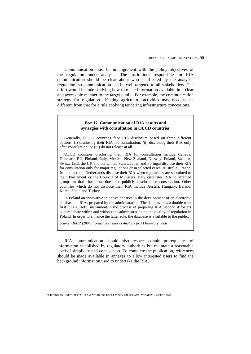Communication must be in alignment with the policy objectives of the regulation under analysis. The institutions responsible for RIA communication should be clear about who is affected by the analysed regulation, so communication can be well targeted to all stakeholders. The effort would include studying how to make information available in a clear and accessible manner to the target public. For example, the communication strategy for regulation affecting agriculture activities may need to be different from that for a rule applying tendering infrastructure concessions.

#### **Box 17. Communication of RIA results and synergies with consultation in OECD countries**

Generally, OECD countries face RIA disclosure based on three different options: (i) disclosing their RIA for consultation; (ii) disclosing their RIA only after consultation; or (iii) do not release at all.

OECD countries disclosing their RIA for consultation include Canada, Denmark, EU, Finland, Italy, Mexico, New Zealand, Norway, Poland, Sweden, Switzerland, the UK and the United States. Japan and Portugal disclose their RIA for consultation only for major regulations or in selected cases. Australia, France, Iceland and the Netherlands disclose their RIA when regulations are submitted to their Parliament or the Council of Ministers. Italy circulates RIA to affected groups in draft form but does not publicly disclose for consultation. Other countries which do not disclose their RIA include Austria, Hungary, Ireland, Korea, Spain and Turkey.

In Poland an innovative initiative consists in the development of an electronic database on RIAs prepared by the administration. The database has a double role: first it is a useful instrument in the process of preparing RIA; second it fosters public debate within and without the administration on the quality of regulation in Poland. In order to enhance the latter role, the database is available to the public.

*Source*: OECD (2004b), *Regulatory Impact Analysis (RIA) Inventory*, Paris.

RIA communication should also respect certain prerequisites of information established by regulatory authorities but maintain a reasonable level of simplicity and conciseness. To complete the publication, references should be made available in annexes to allow interested users to find the background information used to undertake the RIA.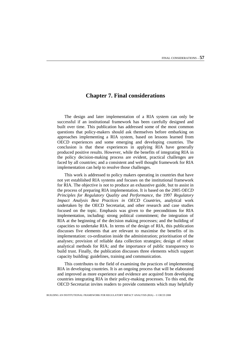# **Chapter 7. Final considerations**

The design and later implementation of a RIA system can only be successful if an institutional framework has been carefully designed and built over time. This publication has addressed some of the most common questions that policy-makers should ask themselves before embarking on approaches implementing a RIA system, based on lessons learned from OECD experiences and some emerging and developing countries. The conclusion is that these experiences in applying RIA have generally produced positive results. However, while the benefits of integrating RIA in the policy decision-making process are evident, practical challenges are faced by all countries; and a consistent and well thought framework for RIA implementation can help to resolve those challenges.

This work is addressed to policy makers operating in countries that have not yet established RIA systems and focuses on the institutional framework for RIA. The objective is not to produce an exhaustive guide, but to assist in the process of preparing RIA implementation. It is based on the 2005 *OECD Principles for Regulatory Quality and Performance*, the 1997 *Regulatory Impact Analysis Best Practices in OECD Countries*, analytical work undertaken by the OECD Secretariat, and other research and case studies focused on the topic. Emphasis was given to the preconditions for RIA implementation, including: strong political commitment; the integration of RIA at the beginning of the decision making processes; and the building of capacities to undertake RIA. In terms of the design of RIA, this publication discusses five elements that are relevant to maximise the benefits of its implementation: co-ordination inside the administration; prioritisation of the analyses; provision of reliable data collection strategies; design of robust analytical methods for RIA; and the importance of public transparency to build trust. Finally, the publication discusses three elements which support capacity building: guidelines, training and communication.

This contributes to the field of examining the practices of implementing RIA in developing countries. It is an ongoing process that will be elaborated and improved as more experience and evidence are acquired from developing countries integrating RIA in their policy-making processes. To this end, the OECD Secretariat invites readers to provide comments which may helpfully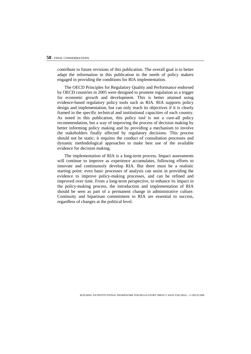contribute to future revisions of this publication. The overall goal is to better adapt the information in this publication to the needs of policy makers engaged in providing the conditions for RIA implementation.

The OECD Principles for Regulatory Quality and Performance endorsed by OECD countries in 2005 were designed to promote regulation as a trigger for economic growth and development. This is better attained using evidence-based regulatory policy tools such as RIA. RIA supports policy design and implementation, but can only reach its objectives if it is clearly framed in the specific technical and institutional capacities of each country. As noted in this publication, this policy tool is not a cure-all policy recommendation, but a way of improving the process of decision making by better informing policy making and by providing a mechanism to involve the stakeholders finally affected by regulatory decisions. This process should not be static; it requires the conduct of consultation processes and dynamic methodological approaches to make best use of the available evidence for decision making.

The implementation of RIA is a long-term process. Impact assessments will continue to improve as experience accumulates, following efforts to innovate and continuously develop RIA. But there must be a realistic starting point: even basic processes of analysis can assist in providing the evidence to improve policy-making processes, and can be refined and improved over time. From a long-term perspective, to enhance its impact in the policy-making process, the introduction and implementation of RIA should be seen as part of a permanent change in administrative culture. Continuity and bipartisan commitment to RIA are essential to success, regardless of changes at the political level.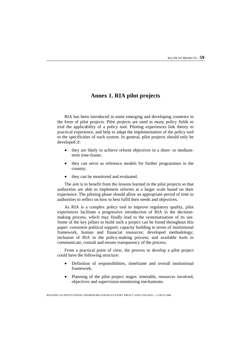# **Annex 1. RIA pilot projects**

RIA has been introduced in some emerging and developing countries in the form of pilot projects. Pilot projects are used in many policy fields to trial the applicability of a policy tool. Piloting experiences link theory to practical experience, and help to adapt the implementation of the policy tool to the specificities of each system. In general, pilot projects should only be developed if:

- they are likely to achieve reform objectives in a short- or mediumterm time-frame;
- they can serve as reference models for further programmes in the country;
- they can be monitored and evaluated.

The aim is to benefit from the lessons learned in the pilot projects so that authorities are able to implement reforms at a larger scale based on their experience. The piloting phase should allow an appropriate period of time to authorities to reflect on how to best fulfil their needs and objectives.

As RIA is a complex policy tool to improve regulatory quality, pilot experiences facilitate a progressive introduction of RIA in the decisionmaking process, which may finally lead to the systematisation of its use. Some of the key pillars to build such a project can be found throughout this paper: consistent political support; capacity building in terms of institutional framework, human and financial resources; developed methodology; inclusion of RIA in the policy-making process; and available tools to communicate, consult and ensure transparency of the process.

From a practical point of view, the process to develop a pilot project could have the following structure:

- Definition of responsibilities, timeframe and overall institutional framework.
- Planning of the pilot project stages: timetable, resources involved, objectives and supervision-monitoring mechanisms.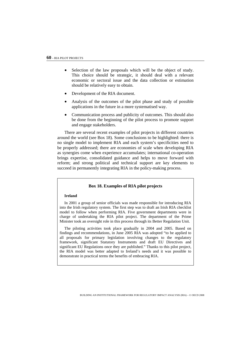- Selection of the law proposals which will be the object of study. This choice should be strategic, it should deal with a relevant economic or sectoral issue and the data collection or estimation should be relatively easy to obtain.
- Development of the RIA document.
- Analysis of the outcomes of the pilot phase and study of possible applications in the future in a more systematised way.
- Communication process and publicity of outcomes. This should also be done from the beginning of the pilot process to promote support and engage stakeholders.

There are several recent examples of pilot projects in different countries around the world (see Box 18). Some conclusions to be highlighted: there is no single model to implement RIA and each system's specificities need to be properly addressed; there are economies of scale when developing RIA as synergies come when experience accumulates; international co-operation brings expertise, consolidated guidance and helps to move forward with reform; and strong political and technical support are key elements to succeed in permanently integrating RIA in the policy-making process.

## **Box 18. Examples of RIA pilot projects**

#### **Ireland**

In 2001 a group of senior officials was made responsible for introducing RIA into the Irish regulatory system. The first step was to draft an Irish RIA checklist model to follow when performing RIA. Five government departments were in charge of undertaking the RIA pilot project. The department of the Prime Minister took an oversight role in this process through its Better Regulation Unit.

The piloting activities took place gradually in 2004 and 2005. Based on findings and recommendations, in June 2005 RIA was adopted "to be applied to all proposals for primary legislation involving changes to the regulatory framework, significant Statutory Instruments and draft EU Directives and significant EU Regulations once they are published." Thanks to this pilot project, the RIA model was better adapted to Ireland's needs and it was possible to demonstrate in practical terms the benefits of embracing RIA.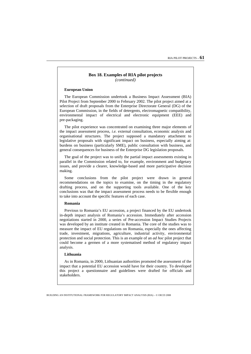#### **Box 18. Examples of RIA pilot projects**  *(continued)*

#### **European Union**

The European Commission undertook a Business Impact Assessment (BIA) Pilot Project from September 2000 to February 2002. The pilot project aimed at a selection of draft proposals from the Enterprise Directorate General (DG) of the European Commission, in the fields of detergents, electromagnetic compatibility, environmental impact of electrical and electronic equipment (EEE) and pre-packaging.

The pilot experience was concentrated on examining three major elements of the impact assessment process, *i.e.* external consultation, economic analysis and organisational structures. The project supposed a mandatory attachment to legislative proposals with significant impact on business, especially aiming at: burdens on business (particularly SME), public consultation with business, and general consequences for business of the Enterprise DG legislation proposals.

The goal of the project was to unify the partial impact assessments existing in parallel in the Commission related to, for example, environment and budgetary issues, and provide a clearer, knowledge-based and more participative decision making.

Some conclusions from the pilot project were drawn in general recommendations on the topics to examine, on the timing in the regulatory drafting process, and on the supporting tools available. One of the key conclusions was that the impact assessment process needs to be flexible enough to take into account the specific features of each case.

#### **Romania**

Previous to Romania's EU accession, a project financed by the EU undertook in-depth impact analysis of Romania's accession. Immediately after accession negotiations started in 2000, a series of Pre-accession Impact Studies Projects was developed by an institute created in Romania. The core of the studies was to measure the impact of EU regulations on Romania, especially the ones affecting trade, investment, migrations, agriculture, industrial activity, environmental protection and social protection. This is an example of an *ad hoc* pilot project that could become a germen of a more systematised method of regulatory impact analysis.

## **Lithuania**

As in Romania, in 2000, Lithuanian authorities promoted the assessment of the impact that a potential EU accession would have for their country. To developed this project a questionnaire and guidelines were drafted for officials and stakeholders.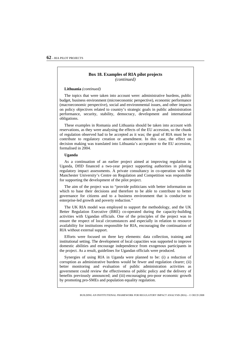## **Box 18. Examples of RIA pilot projects**  *(continued)*

#### **Lithuania** *(continued)*

The topics that were taken into account were: administrative burdens, public budget, business environment (microeconomic perspective), economic performance (macroeconomic perspective), social and environmental issues, and other impacts on policy objectives related to country's strategic goals in public administration performance, security, stability, democracy, development and international obligations.

These examples in Romania and Lithuania should be taken into account with reservations, as they were analysing the effects of the EU accession, so the chunk of regulation observed had to be accepted as it was; the goal of RIA must be to contribute to regulatory creation or amendment. In this case, the effect on decision making was translated into Lithuania's acceptance to the EU accession, formalised in 2004.

#### **Uganda**

As a continuation of an earlier project aimed at improving regulation in Uganda, DfID financed a two-year project supporting authorities in piloting regulatory impact assessments. A private consultancy in co-operation with the Manchester University's Centre on Regulation and Competition was responsible for supporting the development of the pilot project.

The aim of the project was to "provide politicians with better information on which to base their decisions and therefore to be able to contribute to better governance for citizens and to a business environment that is conducive to enterprise-led growth and poverty reduction."

The UK RIA model was employed to support the methodology, and the UK Better Regulation Executive (BRE) co-operated during the capacity-building activities with Ugandan officials. One of the principles of the project was to ensure the respect of local circumstances and especially in relation to resource availability for institutions responsible for RIA, encouraging the continuation of RIA without external support.

Efforts were focused on three key elements: data collection, training and institutional setting. The development of local capacities was supported to improve domestic abilities and encourage independence from exogenous participants in the project. As a result, guidelines for Ugandan officials were produced.

Synergies of using RIA in Uganda were planned to be: (i) a reduction of corruption as administrative burdens would be fewer and regulation clearer; (ii) better monitoring and evaluation of public administration activities as government could review the effectiveness of public policy and the delivery of benefits previously announced; and (iii) encouraging pro-poor economic growth by promoting pro-SMEs and population equality regulation.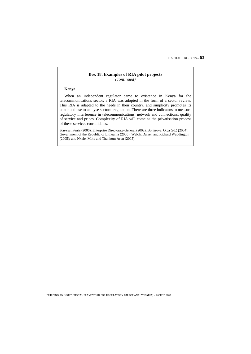#### **Box 18. Examples of RIA pilot projects**  *(continued)*

#### **Kenya**

When an independent regulator came to existence in Kenya for the telecommunications sector, a RIA was adopted in the form of a sector review. This RIA is adapted to the needs in their country, and simplicity promotes its continued use to analyse sectoral regulation. There are three indicators to measure regulatory interference in telecommunications: network and connections, quality of service and prices. Complexity of RIA will come as the privatisation process of these services consolidates.

*Sources*: Ferris (2006); Enterprise Directorate-General (2002); Borissova, Olga (ed.) (2004); Government of the Republic of Lithuania (2000); Welch, Darren and Richard Waddington (2005); and Nxele, Mike and Thankom Arun (2005).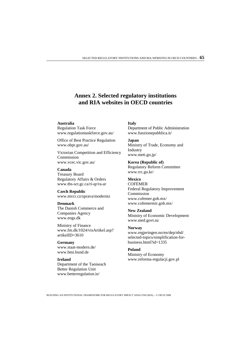# **Annex 2. Selected regulatory institutions and RIA websites in OECD countries**

#### **Australia**

Regulation Task Force <www.regulationtaskforce.gov.au/>

Office of Best Practice Regulation <www.obpr.gov.au/>

Victorian Competition and Efficiency **Commission** www.vcec.vic.gov.au/

#### **Canada**

Treasury Board Regulatory Affairs & Orders [www.tbs-sct.gc.ca/ri-qr/ra-ar](http://www.tbs-sct.gc.ca/ri-qr/ra-ar/default.asp@language=e&page=home.htm) 

**Czech Republic** [www.mvcr.cz/sprava/moderniz](http://www.mvcr.cz/sprava/moderniz) 

#### **Denmark**

The Danish Commerce and Companies Agency www.eogs.dk

Ministry of Finance [www.fm.dk/1024/visArtikel.asp?](http://www.fm.dk/1024/visArtikel.asp?artikelID=3610)  [artikelID=3610](http://www.fm.dk/1024/visArtikel.asp?artikelID=3610) 

**Germany** [www.staat-modern.de/](http://www.staat-modern.de/) www.bmi.bund.de

#### **Ireland**

Department of the Taoiseach Better Regulation Unit [www.betterregulation.ie/](http://www.betterregulation.ie/)

**Italy** Department of Public Administration [www.funzionepubblica.it/](http://www.funzionepubblica.it/) 

**Japan** Ministry of Trade, Economy and Industry [www.meti.go.jp/](http://www.meti.go.jp/) 

**Korea (Republic of)** Regulatory Reform Committee [www.rrc.go.kr/](http://www.rrc.go.kr/) 

**Mexico COFEMER** Federal Regulatory Improvement Commission www.cofemer.gob.mx/ www.cofemermir.gob.mx/

**New Zealand** Ministry of Economic Development [www.med.govt.nz](http://www.med.govt.nz/) 

**Norway** [www.regjeringen.no/en/dep/nhd/](http://www.regjeringen.no/en/dep/nhd/%0Bselected-topics/simplification-for-business.html?id=1335)  [selected-topics/simplification-for](http://www.regjeringen.no/en/dep/nhd/%0Bselected-topics/simplification-for-business.html?id=1335)[business.html?id=1335](http://www.regjeringen.no/en/dep/nhd/%0Bselected-topics/simplification-for-business.html?id=1335) 

**Poland**

Ministry of Economy www.reforma-regulacji.gov.pl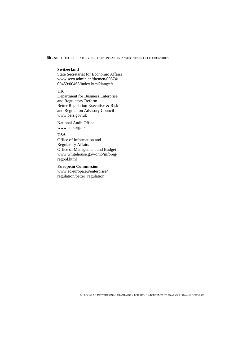#### **Switzerland**

State Secretariat for Economic Affairs [www.seco.admin.ch/themen/00374/](http://www.seco.admin.ch/themen/00374/%0B00459/00465/index.html?lang=fr)  [00459/00465/index.html?lang=fr](http://www.seco.admin.ch/themen/00374/%0B00459/00465/index.html?lang=fr) 

## **UK**

Department for Business Enterprise and Regulatory Reform Better Regulation Executive & Risk and Regulation Advisory Council [www.berr.gov.uk](http://www.berr.gov.uk/) 

National Audit Office [www.nao.org.uk](http://www.nao.org.uk/) 

#### **USA**

Office of Information and Regulatory Affairs Office of Management and Budget [www.whitehouse.gov/omb/inforeg/](http://www.whitehouse.gov/omb/inforeg/regpol.html)  [regpol.html](http://www.whitehouse.gov/omb/inforeg/regpol.html) 

#### **European Commission**

[www.ec.europa.eu/enterprise/](http://www.ec.europa.eu/enterprise/regulation/better_regulation)  [regulation/better\\_regulation](http://www.ec.europa.eu/enterprise/regulation/better_regulation)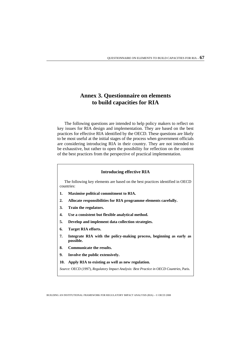# **Annex 3. Questionnaire on elements to build capacities for RIA**

The following questions are intended to help policy makers to reflect on key issues for RIA design and implementation. They are based on the best practices for effective RIA identified by the OECD. These questions are likely to be most useful at the initial stages of the process when government officials are considering introducing RIA in their country. They are not intended to be exhaustive, but rather to open the possibility for reflection on the content of the best practices from the perspective of practical implementation.

## **Introducing effective RIA**

The following key elements are based on the best practices identified in OECD countries:

- **1. Maximise political commitment to RIA.**
- **2. Allocate responsibilities for RIA programme elements carefully.**
- **3. Train the regulators.**
- **4. Use a consistent but flexible analytical method.**
- **5. Develop and implement data collection strategies.**
- **6. Target RIA efforts.**
- **7. Integrate RIA with the policy-making process, beginning as early as possible.**
- **8. Communicate the results.**
- **9. Involve the public extensively.**
- **10. Apply RIA to existing as well as new regulation.**

*Source*: OECD (1997), *Regulatory Impact Analysis: Best Practice in OECD Countries*, Paris.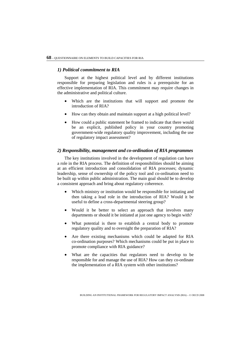# *1) Political commitment to RIA*

Support at the highest political level and by different institutions responsible for preparing legislation and rules is a prerequisite for an effective implementation of RIA. This commitment may require changes in the administrative and political culture.

- Which are the institutions that will support and promote the introduction of RIA?
- How can they obtain and maintain support at a high political level?
- How could a public statement be framed to indicate that there would be an explicit, published policy in your country promoting government-wide regulatory quality improvement, including the use of regulatory impact assessment?

## *2) Responsibility, management and co-ordination of RIA programmes*

The key institutions involved in the development of regulation can have a role in the RIA process. The definition of responsibilities should be aiming at an efficient introduction and consolidation of RIA processes; dynamic leadership, sense of ownership of the policy tool and co-ordination need to be built up within public administration. The main goal should be to develop a consistent approach and bring about regulatory coherence.

- Which ministry or institution would be responsible for initiating and then taking a lead role in the introduction of RIA? Would it be useful to define a cross-departmental steering group?
- Would it be better to select an approach that involves many departments or should it be initiated at just one agency to begin with?
- What potential is there to establish a central body to promote regulatory quality and to oversight the preparation of RIA?
- Are there existing mechanisms which could be adapted for RIA co-ordination purposes? Which mechanisms could be put in place to promote compliance with RIA guidance?
- What are the capacities that regulators need to develop to be responsible for and manage the use of RIA? How can they co-ordinate the implementation of a RIA system with other institutions?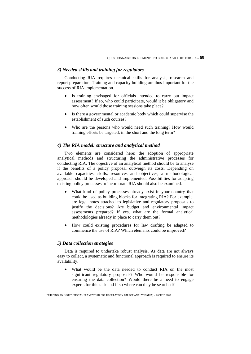# *3) Needed skills and training for regulators*

Conducting RIA requires technical skills for analysis, research and report preparation. Training and capacity building are thus important for the success of RIA implementation.

- Is training envisaged for officials intended to carry out impact assessment? If so, who could participate, would it be obligatory and how often would those training sessions take place?
- Is there a governmental or academic body which could supervise the establishment of such courses?
- Who are the persons who would need such training? How would training efforts be targeted, in the short and the long term?

# *4) The RIA model: structure and analytical method*

Two elements are considered here: the adoption of appropriate analytical methods and structuring the administrative processes for conducting RIA. The objective of an analytical method should be to analyse if the benefits of a policy proposal outweigh its costs. Depending on available capacities, skills, resources and objectives, a methodological approach should be developed and implemented. Possibilities for adapting existing policy processes to incorporate RIA should also be examined.

- What kind of policy processes already exist in your country that could be used as building blocks for integrating RIA? For example, are legal notes attached to legislative and regulatory proposals to justify the decisions? Are budget and environmental impact assessments prepared? If yes, what are the formal analytical methodologies already in place to carry them out?
- How could existing procedures for law drafting be adapted to commence the use of RIA? Which elements could be improved?

# *5) Data collection strategies*

Data is required to undertake robust analysis. As data are not always easy to collect, a systematic and functional approach is required to ensure its availability.

What would be the data needed to conduct RIA on the most significant regulatory proposals? Who would be responsible for ensuring the data collection? Would there be a need to engage experts for this task and if so where can they be searched?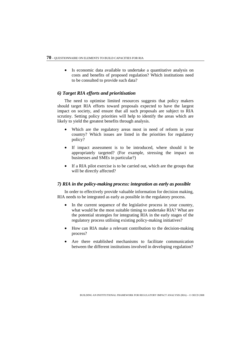• Is economic data available to undertake a quantitative analysis on costs and benefits of proposed regulation? Which institutions need to be consulted to provide such data?

## *6) Target RIA efforts and prioritisation*

The need to optimise limited resources suggests that policy makers should target RIA efforts toward proposals expected to have the largest impact on society, and ensure that all such proposals are subject to RIA scrutiny. Setting policy priorities will help to identify the areas which are likely to yield the greatest benefits through analysis.

- Which are the regulatory areas most in need of reform in your country? Which issues are listed in the priorities for regulatory policy?
- If impact assessment is to be introduced, where should it be appropriately targeted? (For example, stressing the impact on businesses and SMEs in particular?)
- If a RIA pilot exercise is to be carried out, which are the groups that will be directly affected?

## *7) RIA in the policy-making process: integration as early as possible*

In order to effectively provide valuable information for decision making, RIA needs to be integrated as early as possible in the regulatory process.

- In the current sequence of the legislative process in your country, what would be the most suitable timing to undertake RIA? What are the potential strategies for integrating RIA in the early stages of the regulatory process utilising existing policy-making initiatives?
- How can RIA make a relevant contribution to the decision-making process?
- Are there established mechanisms to facilitate communication between the different institutions involved in developing regulation?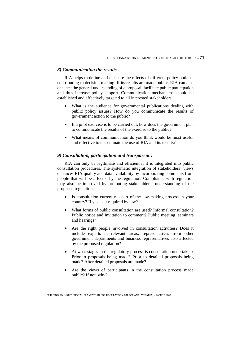# *8) Communicating the results*

RIA helps to define and measure the effects of different policy options, contributing to decision making. If its results are made public, RIA can also enhance the general understanding of a proposal, facilitate public participation and thus increase policy support. Communication mechanisms should be established and effectively targeted to all interested stakeholders.

- What is the audience for governmental publications dealing with public policy issues? How do you communicate the results of government action to the public?
- If a pilot exercise is to be carried out, how does the government plan to communicate the results of the exercise to the public?
- What means of communication do you think would be most useful and effective to disseminate the use of RIA and its results?

# *9) Consultation, participation and transparency*

RIA can only be legitimate and efficient if it is integrated into public consultation procedures. The systematic integration of stakeholders' views enhances RIA quality and data availability by incorporating comments from people that will be affected by the regulation. Compliance with regulation may also be improved by promoting stakeholders' understanding of the proposed regulation.

- Is consultation currently a part of the law-making process in your country? If yes, is it required by law?
- What forms of public consultation are used? Informal consultation? Public notice and invitation to comment? Public meeting, seminars and hearings?
- Are the right people involved in consultation activities? Does it include experts in relevant areas: representatives from other government departments and business representatives also affected by the proposed regulation?
- At what stages in the regulatory process is consultation undertaken? Prior to proposals being made? Prior to detailed proposals being made? After detailed proposals are made?
- Are the views of participants in the consultation process made public? If not, why?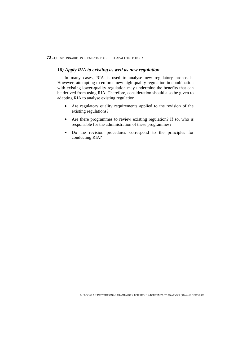## *10) Apply RIA to existing as well as new regulation*

In many cases, RIA is used to analyse new regulatory proposals. However, attempting to enforce new high-quality regulation in combination with existing lower-quality regulation may undermine the benefits that can be derived from using RIA. Therefore, consideration should also be given to adapting RIA to analyse existing regulation.

- Are regulatory quality requirements applied to the revision of the existing regulations?
- Are there programmes to review existing regulation? If so, who is responsible for the administration of these programmes?
- Do the revision procedures correspond to the principles for conducting RIA?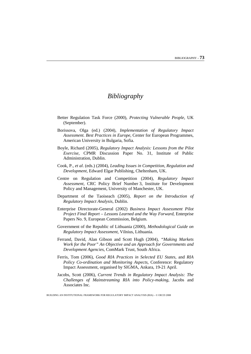## *Bibliography*

- Better Regulation Task Force (2000), *Protecting Vulnerable People*, UK (September).
- Borissova, Olga (ed.) (2004), *Implementation of Regulatory Impact Assessment. Best Practices in Europe*, Center for European Programmes, American University in Bulgaria, Sofia.
- Boyle, Richard (2005), *Regulatory Impact Analysis: Lessons from the Pilot Exercise*, CPMR Discussion Paper No. 31, Institute of Public Administration, Dublin.
- Cook, P., *et al*. (eds.) (2004), *Leading Issues in Competition, Regulation and Development*, Edward Elgar Publishing, Cheltenham, UK.
- Centre on Regulation and Competition (2004), *Regulatory Impact Assessment*, CRC Policy Brief Number 3, Institute for Development Policy and Management, University of Manchester, UK.
- Department of the Taoiseach (2005), *Report on the Introduction of Regulatory Impact Analysis*, Dublin.
- Enterprise Directorate-General (2002) *Business Impact Assessment Pilot Project Final Report – Lessons Learned and the Way Forward*, Enterprise Papers No. 9, European Commission, Belgium.
- Government of the Republic of Lithuania (2000), *Methodological Guide on Regulatory Impact Assessment*, Vilnius, Lithuania.
- Ferrand, David, Alan Gibson and Scott Hugh (2004), *"Making Markets Work for the Poor" An Objective and an Approach for Governments and Development Agencies*, ComMark Trust, South Africa.
- Ferris, Tom (2006), *Good RIA Practices in Selected EU States*, and *RIA Policy Co-ordination and Monitoring Aspects*, Conference: Regulatory Impact Assessment, organised by SIGMA, Ankara, 19-21 April.
- Jacobs, Scott (2006), *Current Trends in Regulatory Impact Analysis: The Challenges of Mainstreaming RIA into Policy-making*, Jacobs and Associates Inc.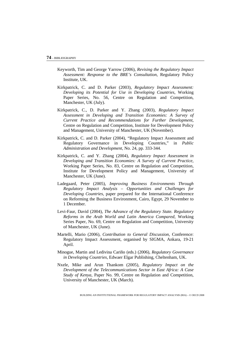- Keyworth, Tim and George Yarrow (2006), *Revising the Regulatory Impact Assessment: Response to the BRE's Consultation*, Regulatory Policy Institute, UK.
- Kirkpatrick, C. and D. Parker (2003), *Regulatory Impact Assessment: Developing its Potential for Use in Developing Countries*, Working Paper Series, No. 56, Centre on Regulation and Competition, Manchester, UK (July).
- Kirkpatrick, C., D. Parker and Y. Zhang (2003), *Regulatory Impact Assessment in Developing and Transition Economies: A Survey of Current Practice and Recommendations for Further Development*, Centre on Regulation and Competition, Institute for Development Policy and Management, University of Manchester, UK (November).
- Kirkpatrick, C. and D. Parker (2004), "Regulatory Impact Assessment and Regulatory Governance in Developing Countries," in *Public Administration and Development*, No. 24, pp. 333-344.
- Kirkpatrick, C. and Y. Zhang (2004), *Regulatory Impact Assessment in Developing and Transition Economies: A Survey of Current Practice*, Working Paper Series, No. 83, Centre on Regulation and Competition, Institute for Development Policy and Management, University of Manchester, UK (June).
- Ladegaard, Peter (2005), *Improving Business Environments Through Regulatory Impact Analysis – Opportunities and Challenges for Developing Countries*, paper prepared for the International Conference on Reforming the Business Environment, Cairo, Egypt, 29 November to 1 December.
- Levi-Faur, David (2004), *The Advance of the Regulatory State. Regulatory Reforms in the Arab World and Latin America Compared*, Working Series Paper, No. 69, Centre on Regulation and Competition, University of Manchester, UK (June).
- Martelli, Mario (2006), *Contribution to General Discussion*, Conference: Regulatory Impact Assessment, organised by SIGMA, Ankara, 19-21 April.
- Minogue, Martin and Ledivina Cariño (eds.) (2006), *Regulatory Governance in Developing Countries*, Edwaer Elgar Publishing, Cheltenham, UK.
- Nxele, Mike and Arun Thankom (2005), *Regulatory Impact on the Development of the Telecommunications Sector in East Africa: A Case Study of Kenya*, Paper No. 99, Centre on Regulation and Competition, University of Manchester, UK (March).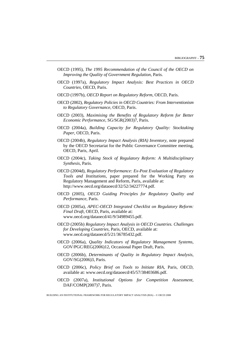- OECD (1995), *The 1995 Recommendation of the Council of the OECD on Improving the Quality of Government Regulation*, Paris.
- OECD (1997a), *Regulatory Impact Analysis: Best Practices in OECD Countries*, OECD, Paris.
- OECD (1997b), *OECD Report on Regulatory Reform*, OECD, Paris.
- OECD (2002), *Regulatory Policies in OECD Countries: From Interventionism to Regulatory Governance*, OECD, Paris.
- OECD (2003), *Maximising the Benefits of Regulatory Reform for Better Economic Performance*, SG/SGR(2003)7, Paris.
- OECD (2004a), *Building Capacity for Regulatory Quality: Stocktaking Paper*, OECD, Paris.
- OECD (2004b), *Regulatory Impact Analysis (RIA) Inventory*, note prepared by the OECD Secretariat for the Public Governance Committee meeting, OECD, Paris, April.
- OECD (2004c), *Taking Stock of Regulatory Reform: A Multidisciplinary Synthesis*, Paris.
- OECD (2004d), *Regulatory Performance: Ex-Post Evaluation of Regulatory Tools and Institutions*, paper prepared for the Working Party on Regulatory Management and Reform, Paris, available at: http://www.oecd.org/dataoecd/32/52/34227774.pdf.
- OECD (2005), *OECD Guiding Principles for Regulatory Quality and Performance*, Paris.
- OECD (2005a), *APEC-OECD Integrated Checklist on Regulatory Reform: Final Draft*, OECD, Paris, available at: www.oecd.org/dataoecd/41/9/34989455.pdf.
- OECD (2005b) *Regulatory Impact Analysis in OECD Countries. Challenges for Developing Countries*, Paris, OECD, available at: www.oecd.org/dataoecd/5/21/36785432.pdf.
- OECD (2006a), *Quality Indicators of Regulatory Management Systems*, GOV/PGC/REG(2006)12, Occasional Paper Draft, Paris.
- OECD (2006b), *Determinants of Quality in Regulatory Impact Analysis*, GOV/SG(2006)3, Paris.
- OECD (2006c), *Policy Brief on Tools to Initiate RIA*, Paris, OECD, available at: www.oecd.org/dataoecd/45/57/38403686.pdf.
- OECD (2007a), *Institutional Options for Competition Assessment*, DAF/COMP(2007)7, Paris.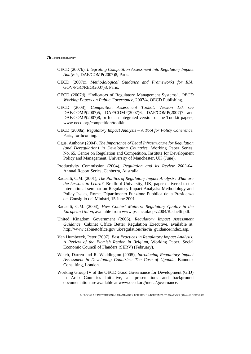- OECD (2007b), *Integrating Competition Assessment into Regulatory Impact Analysis*, DAF/COMP(2007)8, Paris.
- OECD (2007c), *Methodological Guidance and Frameworks for RIA*, GOV/PGC/REG(2007)8, Paris.
- OECD (2007d), "Indicators of Regulatory Management Systems", *OECD Working Papers on Public Governance*, 2007/4, OECD Publishing.
- OECD (2008), *Competition Assessment Toolkit, Version 1.0*, see DAF/COMP(2007)5, DAF/COMP(2007)6, DAF/COMP(2007)7 and DAF/COMP(2007)8, or for an integrated version of the Toolkit papers, www.oecd.org/competition/toolkit.
- OECD (2008a), *Regulatory Impact Analysis A Tool for Policy Coherence*, Paris, forthcoming.
- Ogus, Anthony (2004), *The Importance of Legal Infrastructure for Regulation (and Deregulation) in Developing Countries*, Working Paper Series, No. 65, Centre on Regulation and Competition, Institute for Development Policy and Management, University of Manchester, UK (June).
- Productivity Commission (2004), *Regulation and its Review 2003-04*, Annual Report Series, Canberra, Australia.
- Radaelli, C.M. (2001), *The Politics of Regulatory Impact Analysis: What are the Lessons to Learn?*, Bradford University, UK, paper delivered to the international seminar on Regulatory Impact Analysis: Methodology and Policy Issues, Rome, Dipartimento Funzione Pubblica della Presidenza del Consiglio dei Ministri, 15 June 2001.
- Radaelli, C.M. (2004), *How Context Matters: Regulatory Quality in the European Union*, available from www.psa.ac.uk/cps/2004/Radaelli.pdf.
- United Kingdom Government (2006), *Regulatory Impact Assessment Guidance*, Cabinet Office Better Regulation Executive, available at: [http://www.cabinetoffice.gov.uk/regulation/ria/ria\\_guidance/index.asp.](http://www.cabinetoffice.gov.uk/regulation/ria/ria_guidance/index.asp)
- Van Humbeeck, Peter (2007), *Best Practices in Regulatory Impact Analysis: A Review of the Flemish Region in Belgium*, Working Paper, Social Economic Council of Flanders (SERV) (February).
- Welch, Darren and R. Waddington (2005), *Introducing Regulatory Impact Assessment in Developing Countries: The Case of Uganda*, Bannock Consulting, London.
- Working Group IV of the OECD Good Governance for Development (GfD) in Arab Countries Initiative, all presentations and background documentation are available at www.oecd.org/mena/governance.